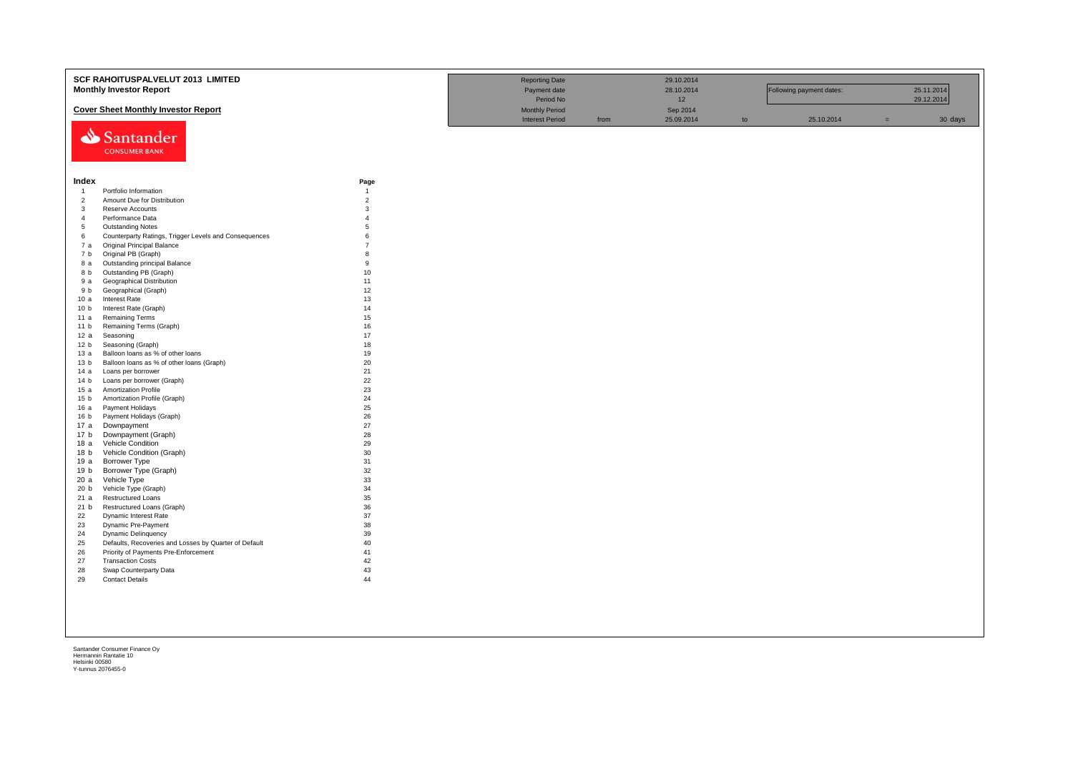|                 | SCF RAHOITUSPALVELUT 2013 LIMITED                     |                | <b>Reporting Date</b>  |      | 29.10.2014 |    |                          |     |            |
|-----------------|-------------------------------------------------------|----------------|------------------------|------|------------|----|--------------------------|-----|------------|
|                 | <b>Monthly Investor Report</b>                        |                | Payment date           |      | 28.10.2014 |    | Following payment dates: |     | 25.11.2014 |
|                 |                                                       |                | Period No              |      |            |    |                          |     | 29.12.2014 |
|                 |                                                       |                |                        |      | 12         |    |                          |     |            |
|                 | <b>Cover Sheet Monthly Investor Report</b>            |                | <b>Monthly Period</b>  |      | Sep 2014   |    |                          |     |            |
|                 |                                                       |                | <b>Interest Period</b> | from | 25.09.2014 | to | 25.10.2014               | $=$ | 30 days    |
|                 | Santander                                             |                |                        |      |            |    |                          |     |            |
|                 |                                                       |                |                        |      |            |    |                          |     |            |
|                 | <b>CONSUMER BANK</b>                                  |                |                        |      |            |    |                          |     |            |
|                 |                                                       |                |                        |      |            |    |                          |     |            |
|                 |                                                       |                |                        |      |            |    |                          |     |            |
| Index           |                                                       | Page           |                        |      |            |    |                          |     |            |
| $\overline{1}$  | Portfolio Information                                 | $\overline{1}$ |                        |      |            |    |                          |     |            |
| $\overline{c}$  | Amount Due for Distribution                           | $\overline{2}$ |                        |      |            |    |                          |     |            |
| $\mathbf{3}$    | Reserve Accounts                                      | 3              |                        |      |            |    |                          |     |            |
| $\overline{4}$  | Performance Data                                      | $\overline{A}$ |                        |      |            |    |                          |     |            |
| 5               | <b>Outstanding Notes</b>                              | $\overline{5}$ |                        |      |            |    |                          |     |            |
| 6               | Counterparty Ratings, Trigger Levels and Consequences | 6              |                        |      |            |    |                          |     |            |
| 7a              | Original Principal Balance                            | $\overline{7}$ |                        |      |            |    |                          |     |            |
| 7 b             | Original PB (Graph)                                   | 8              |                        |      |            |    |                          |     |            |
| 8 a             | Outstanding principal Balance                         | 9              |                        |      |            |    |                          |     |            |
| 8 b             | Outstanding PB (Graph)                                | 10             |                        |      |            |    |                          |     |            |
| 9 a             | Geographical Distribution                             | 11             |                        |      |            |    |                          |     |            |
| 9 b             | Geographical (Graph)                                  | 12             |                        |      |            |    |                          |     |            |
| 10a             | <b>Interest Rate</b>                                  | 13             |                        |      |            |    |                          |     |            |
| 10 <sub>b</sub> | Interest Rate (Graph)                                 | 14             |                        |      |            |    |                          |     |            |
| 11 a            | <b>Remaining Terms</b>                                | 15             |                        |      |            |    |                          |     |            |
| 11 <sub>b</sub> | Remaining Terms (Graph)                               | 16             |                        |      |            |    |                          |     |            |
| 12a             | Seasoning                                             | 17             |                        |      |            |    |                          |     |            |
| 12 <sub>b</sub> | Seasoning (Graph)                                     | 18             |                        |      |            |    |                          |     |            |
| 13 а            | Balloon loans as % of other loans                     | 19             |                        |      |            |    |                          |     |            |
| 13 <sub>b</sub> | Balloon loans as % of other loans (Graph)             | 20             |                        |      |            |    |                          |     |            |
| 14 a            | Loans per borrower                                    | 21             |                        |      |            |    |                          |     |            |
| 14 <sub>b</sub> | Loans per borrower (Graph)                            | 22             |                        |      |            |    |                          |     |            |
| 15a             | Amortization Profile                                  | 23             |                        |      |            |    |                          |     |            |
| 15 <sub>b</sub> | Amortization Profile (Graph)                          | 24             |                        |      |            |    |                          |     |            |
| 16 a            | Payment Holidays                                      | 25             |                        |      |            |    |                          |     |            |
| 16 <sub>b</sub> | Payment Holidays (Graph)                              | 26             |                        |      |            |    |                          |     |            |
| 17 a            | Downpayment                                           | 27             |                        |      |            |    |                          |     |            |
| 17 b            | Downpayment (Graph)                                   | 28             |                        |      |            |    |                          |     |            |
| 18a             | Vehicle Condition                                     | 29             |                        |      |            |    |                          |     |            |
| 18 <sub>b</sub> | Vehicle Condition (Graph)                             | 30             |                        |      |            |    |                          |     |            |
| 19 a            | Borrower Type                                         | 31             |                        |      |            |    |                          |     |            |
| 19 b            | Borrower Type (Graph)                                 | 32             |                        |      |            |    |                          |     |            |
| 20a             | Vehicle Type                                          | 33             |                        |      |            |    |                          |     |            |
| 20 <sub>b</sub> | Vehicle Type (Graph)                                  | 34             |                        |      |            |    |                          |     |            |
| 21a             | <b>Restructured Loans</b>                             | 35             |                        |      |            |    |                          |     |            |
| 21 b            | Restructured Loans (Graph)                            | 36             |                        |      |            |    |                          |     |            |
| 22              | Dynamic Interest Rate                                 | 37             |                        |      |            |    |                          |     |            |
| 23              | Dynamic Pre-Payment                                   | 38             |                        |      |            |    |                          |     |            |
| 24              | <b>Dynamic Delinquency</b>                            | 39             |                        |      |            |    |                          |     |            |
| 25              | Defaults, Recoveries and Losses by Quarter of Default | 40             |                        |      |            |    |                          |     |            |
| 26              | Priority of Payments Pre-Enforcement                  | 41             |                        |      |            |    |                          |     |            |
| 27              | <b>Transaction Costs</b>                              | 42             |                        |      |            |    |                          |     |            |
| 28              | Swap Counterparty Data                                | 43             |                        |      |            |    |                          |     |            |
| 29              | <b>Contact Details</b>                                | 44             |                        |      |            |    |                          |     |            |
|                 |                                                       |                |                        |      |            |    |                          |     |            |
|                 |                                                       |                |                        |      |            |    |                          |     |            |
|                 |                                                       |                |                        |      |            |    |                          |     |            |
|                 |                                                       |                |                        |      |            |    |                          |     |            |
|                 |                                                       |                |                        |      |            |    |                          |     |            |
|                 |                                                       |                |                        |      |            |    |                          |     |            |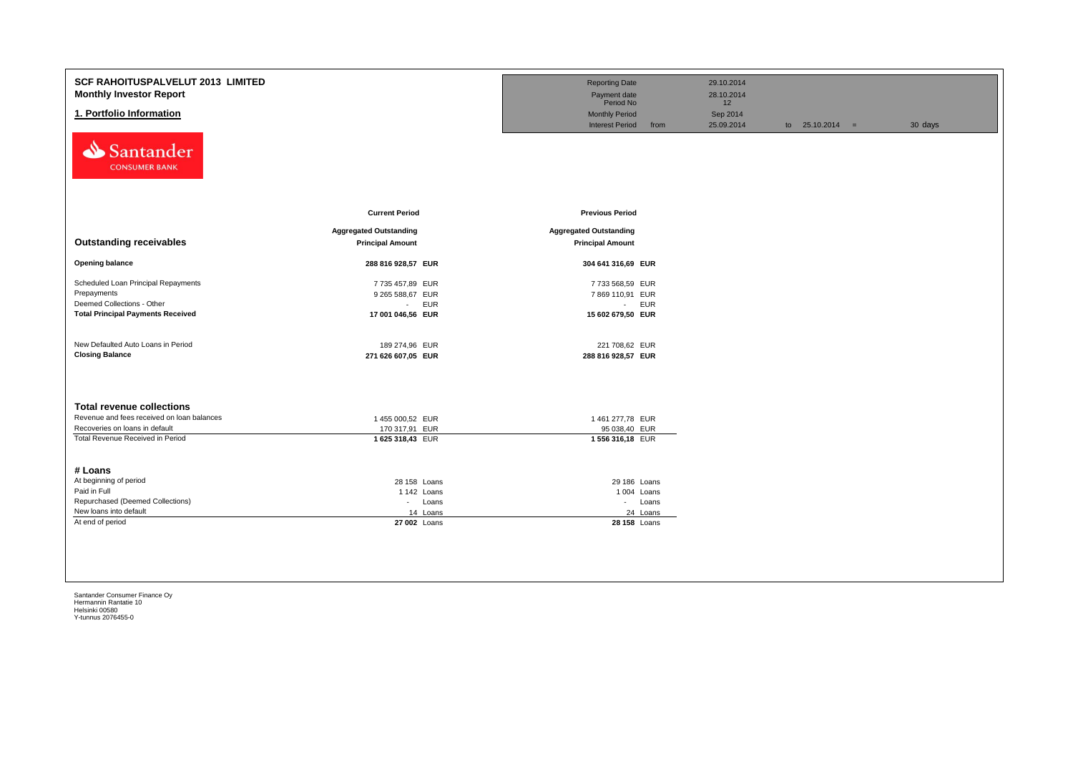| <b>SCF RAHOITUSPALVELUT 2013 LIMITED</b><br><b>Monthly Investor Report</b><br>1. Portfolio Information                       |                                                                    | <b>Reporting Date</b><br>Payment date<br>Period No<br><b>Monthly Period</b><br><b>Interest Period</b><br>from | 29.10.2014<br>28.10.2014<br>12<br>Sep 2014<br>25.09.2014 | to $25.10.2014 =$ | 30 days |
|------------------------------------------------------------------------------------------------------------------------------|--------------------------------------------------------------------|---------------------------------------------------------------------------------------------------------------|----------------------------------------------------------|-------------------|---------|
| Santander<br><b>CONSUMER BANK</b>                                                                                            | <b>Current Period</b>                                              | <b>Previous Period</b>                                                                                        |                                                          |                   |         |
| <b>Outstanding receivables</b>                                                                                               | <b>Aggregated Outstanding</b><br><b>Principal Amount</b>           | <b>Aggregated Outstanding</b><br><b>Principal Amount</b>                                                      |                                                          |                   |         |
| <b>Opening balance</b>                                                                                                       | 288 816 928,57 EUR                                                 | 304 641 316,69 EUR                                                                                            |                                                          |                   |         |
| Scheduled Loan Principal Repayments<br>Prepayments<br>Deemed Collections - Other<br><b>Total Principal Payments Received</b> | 7 735 457,89 EUR<br>9 265 588,67 EUR<br>- EUR<br>17 001 046,56 EUR | 7733 568,59 EUR<br>7869 110,91 EUR<br>- EUR<br>15 602 679,50 EUR                                              |                                                          |                   |         |
| New Defaulted Auto Loans in Period<br><b>Closing Balance</b>                                                                 | 189 274,96 EUR<br>271 626 607,05 EUR                               | 221 708,62 EUR<br>288 816 928,57 EUR                                                                          |                                                          |                   |         |
| <b>Total revenue collections</b>                                                                                             |                                                                    |                                                                                                               |                                                          |                   |         |
| Revenue and fees received on loan balances                                                                                   | 1455 000,52 EUR                                                    | 1 461 277,78 EUR                                                                                              |                                                          |                   |         |
| Recoveries on loans in default<br>Total Revenue Received in Period                                                           | 170 317,91 EUR<br>1 625 318,43 EUR                                 | 95 038,40 EUR<br>1 556 316,18 EUR                                                                             |                                                          |                   |         |
| # Loans                                                                                                                      |                                                                    |                                                                                                               |                                                          |                   |         |
| At beginning of period                                                                                                       | 28 158 Loans                                                       | 29 186 Loans                                                                                                  |                                                          |                   |         |
| Paid in Full                                                                                                                 | 1 142 Loans                                                        | 1 004 Loans                                                                                                   |                                                          |                   |         |
| Repurchased (Deemed Collections)                                                                                             | - Loans                                                            | - Loans                                                                                                       |                                                          |                   |         |
| New loans into default                                                                                                       | 14 Loans                                                           | 24 Loans                                                                                                      |                                                          |                   |         |
| At end of period                                                                                                             | 27 002 Loans                                                       | 28 158 Loans                                                                                                  |                                                          |                   |         |
|                                                                                                                              |                                                                    |                                                                                                               |                                                          |                   |         |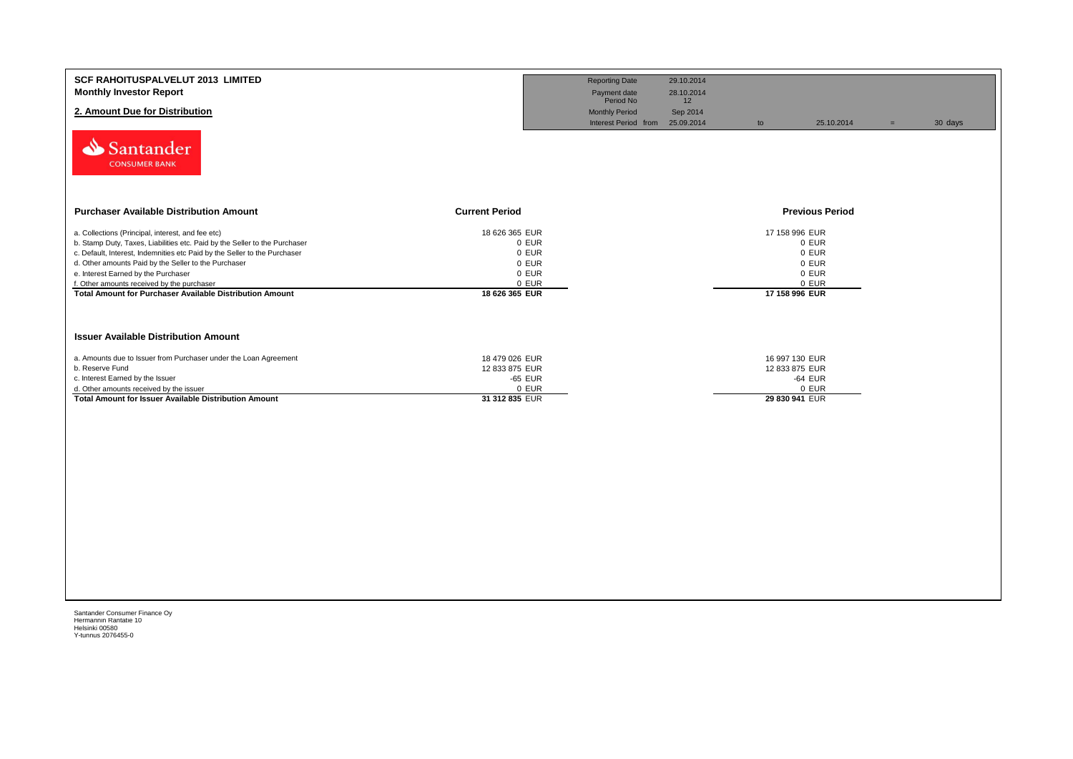| <b>SCF RAHOITUSPALVELUT 2013 LIMITED</b><br><b>Monthly Investor Report</b>                                                      |                                  | <b>Reporting Date</b><br>Payment date<br>Period No | 29.10.2014<br>28.10.2014<br>12 |                                  |                        |     |         |
|---------------------------------------------------------------------------------------------------------------------------------|----------------------------------|----------------------------------------------------|--------------------------------|----------------------------------|------------------------|-----|---------|
| 2. Amount Due for Distribution                                                                                                  |                                  | <b>Monthly Period</b>                              | Sep 2014                       |                                  |                        |     |         |
| Santander<br><b>CONSUMER BANK</b>                                                                                               |                                  | Interest Period from 25.09.2014                    |                                | to                               | 25.10.2014             | $=$ | 30 days |
| <b>Purchaser Available Distribution Amount</b><br><b>Current Period</b>                                                         |                                  |                                                    |                                |                                  | <b>Previous Period</b> |     |         |
| a. Collections (Principal, interest, and fee etc)<br>b. Stamp Duty, Taxes, Liabilities etc. Paid by the Seller to the Purchaser | 18 626 365 EUR<br>0 EUR          |                                                    |                                | 17 158 996 EUR                   | 0 EUR                  |     |         |
| c. Default, Interest, Indemnities etc Paid by the Seller to the Purchaser                                                       | 0 EUR                            |                                                    |                                |                                  | 0 EUR                  |     |         |
| d. Other amounts Paid by the Seller to the Purchaser                                                                            | 0 EUR                            |                                                    |                                |                                  | 0 EUR                  |     |         |
| e. Interest Earned by the Purchaser                                                                                             | 0 EUR                            |                                                    |                                |                                  | 0 EUR                  |     |         |
| f. Other amounts received by the purchaser<br><b>Total Amount for Purchaser Available Distribution Amount</b>                   | 0 EUR<br>18 626 365 EUR          |                                                    |                                | 17 158 996 EUR                   | 0 EUR                  |     |         |
| <b>Issuer Available Distribution Amount</b>                                                                                     |                                  |                                                    |                                |                                  |                        |     |         |
| a. Amounts due to Issuer from Purchaser under the Loan Agreement<br>b. Reserve Fund                                             | 18 479 026 EUR<br>12 833 875 EUR |                                                    |                                | 16 997 130 EUR<br>12 833 875 EUR |                        |     |         |
| c. Interest Earned by the Issuer                                                                                                | -65 EUR                          |                                                    |                                |                                  | -64 EUR                |     |         |
| d. Other amounts received by the issuer                                                                                         | 0 EUR                            |                                                    |                                |                                  | 0 EUR                  |     |         |
| <b>Total Amount for Issuer Available Distribution Amount</b>                                                                    | 31 312 835 EUR                   |                                                    |                                | 29 830 941 EUR                   |                        |     |         |
|                                                                                                                                 |                                  |                                                    |                                |                                  |                        |     |         |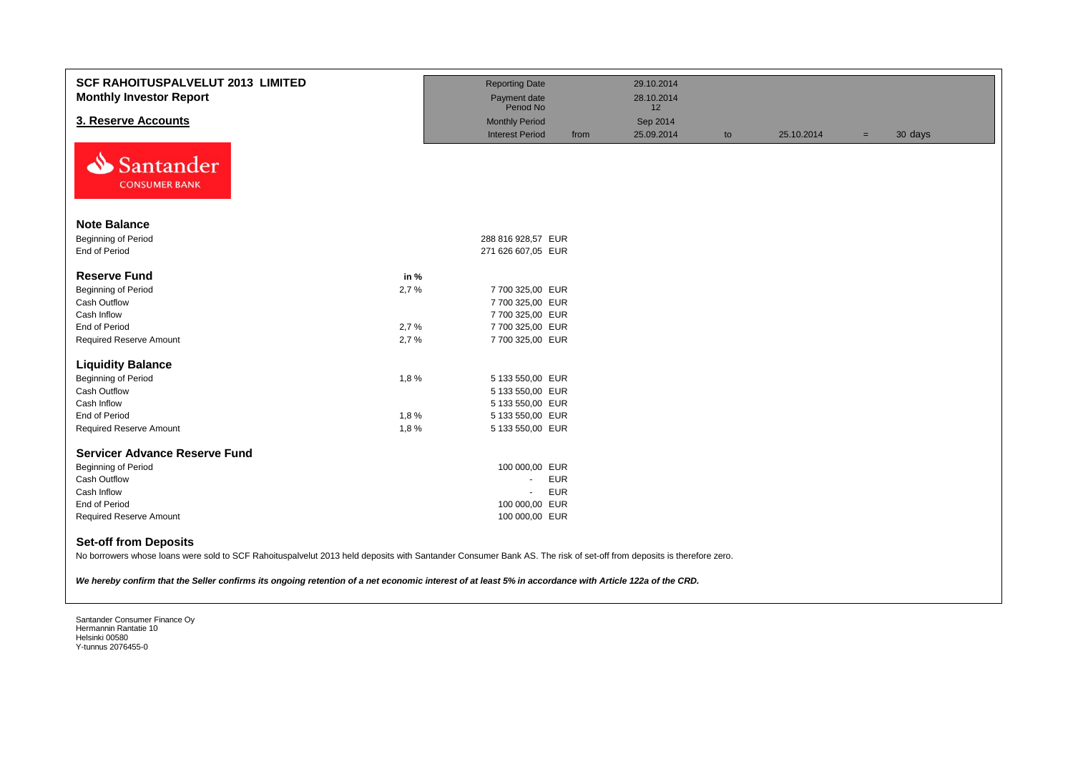| <b>SCF RAHOITUSPALVELUT 2013 LIMITED</b><br><b>Monthly Investor Report</b>                                                                                                                                                                                                                                                                                    |      | <b>Reporting Date</b><br>Payment date<br>Period No |            | 29.10.2014<br>28.10.2014<br>12 |    |            |     |         |
|---------------------------------------------------------------------------------------------------------------------------------------------------------------------------------------------------------------------------------------------------------------------------------------------------------------------------------------------------------------|------|----------------------------------------------------|------------|--------------------------------|----|------------|-----|---------|
| 3. Reserve Accounts                                                                                                                                                                                                                                                                                                                                           |      | <b>Monthly Period</b>                              |            | Sep 2014                       |    |            |     |         |
|                                                                                                                                                                                                                                                                                                                                                               |      | <b>Interest Period</b>                             | from       | 25.09.2014                     | to | 25.10.2014 | $=$ | 30 days |
| Santander<br><b>CONSUMER BANK</b>                                                                                                                                                                                                                                                                                                                             |      |                                                    |            |                                |    |            |     |         |
| <b>Note Balance</b>                                                                                                                                                                                                                                                                                                                                           |      |                                                    |            |                                |    |            |     |         |
| Beginning of Period                                                                                                                                                                                                                                                                                                                                           |      | 288 816 928,57 EUR                                 |            |                                |    |            |     |         |
| End of Period                                                                                                                                                                                                                                                                                                                                                 |      | 271 626 607,05 EUR                                 |            |                                |    |            |     |         |
|                                                                                                                                                                                                                                                                                                                                                               |      |                                                    |            |                                |    |            |     |         |
| <b>Reserve Fund</b>                                                                                                                                                                                                                                                                                                                                           | in % |                                                    |            |                                |    |            |     |         |
| Beginning of Period                                                                                                                                                                                                                                                                                                                                           | 2,7% | 7 700 325,00 EUR                                   |            |                                |    |            |     |         |
| Cash Outflow                                                                                                                                                                                                                                                                                                                                                  |      | 7 700 325,00 EUR                                   |            |                                |    |            |     |         |
| Cash Inflow                                                                                                                                                                                                                                                                                                                                                   |      | 7 700 325,00 EUR                                   |            |                                |    |            |     |         |
| End of Period                                                                                                                                                                                                                                                                                                                                                 | 2,7% | 7 700 325,00 EUR                                   |            |                                |    |            |     |         |
| <b>Required Reserve Amount</b>                                                                                                                                                                                                                                                                                                                                | 2,7% | 7 700 325,00 EUR                                   |            |                                |    |            |     |         |
| <b>Liquidity Balance</b>                                                                                                                                                                                                                                                                                                                                      |      |                                                    |            |                                |    |            |     |         |
| Beginning of Period                                                                                                                                                                                                                                                                                                                                           | 1,8% | 5 133 550,00 EUR                                   |            |                                |    |            |     |         |
| Cash Outflow                                                                                                                                                                                                                                                                                                                                                  |      | 5 133 550,00 EUR                                   |            |                                |    |            |     |         |
| Cash Inflow                                                                                                                                                                                                                                                                                                                                                   |      | 5 133 550,00 EUR                                   |            |                                |    |            |     |         |
| <b>End of Period</b>                                                                                                                                                                                                                                                                                                                                          | 1,8% | 5 133 550,00 EUR                                   |            |                                |    |            |     |         |
| <b>Required Reserve Amount</b>                                                                                                                                                                                                                                                                                                                                | 1,8% | 5 133 550,00 EUR                                   |            |                                |    |            |     |         |
|                                                                                                                                                                                                                                                                                                                                                               |      |                                                    |            |                                |    |            |     |         |
| <b>Servicer Advance Reserve Fund</b>                                                                                                                                                                                                                                                                                                                          |      |                                                    |            |                                |    |            |     |         |
| Beginning of Period                                                                                                                                                                                                                                                                                                                                           |      | 100 000,00 EUR                                     |            |                                |    |            |     |         |
| Cash Outflow                                                                                                                                                                                                                                                                                                                                                  |      | $\blacksquare$                                     | <b>EUR</b> |                                |    |            |     |         |
| Cash Inflow                                                                                                                                                                                                                                                                                                                                                   |      | $\omega$                                           | <b>EUR</b> |                                |    |            |     |         |
| End of Period                                                                                                                                                                                                                                                                                                                                                 |      | 100 000,00 EUR                                     |            |                                |    |            |     |         |
| <b>Required Reserve Amount</b>                                                                                                                                                                                                                                                                                                                                |      | 100 000,00 EUR                                     |            |                                |    |            |     |         |
| <b>Set-off from Deposits</b><br>No borrowers whose loans were sold to SCF Rahoituspalvelut 2013 held deposits with Santander Consumer Bank AS. The risk of set-off from deposits is therefore zero.<br>We hereby confirm that the Seller confirms its ongoing retention of a net economic interest of at least 5% in accordance with Article 122a of the CRD. |      |                                                    |            |                                |    |            |     |         |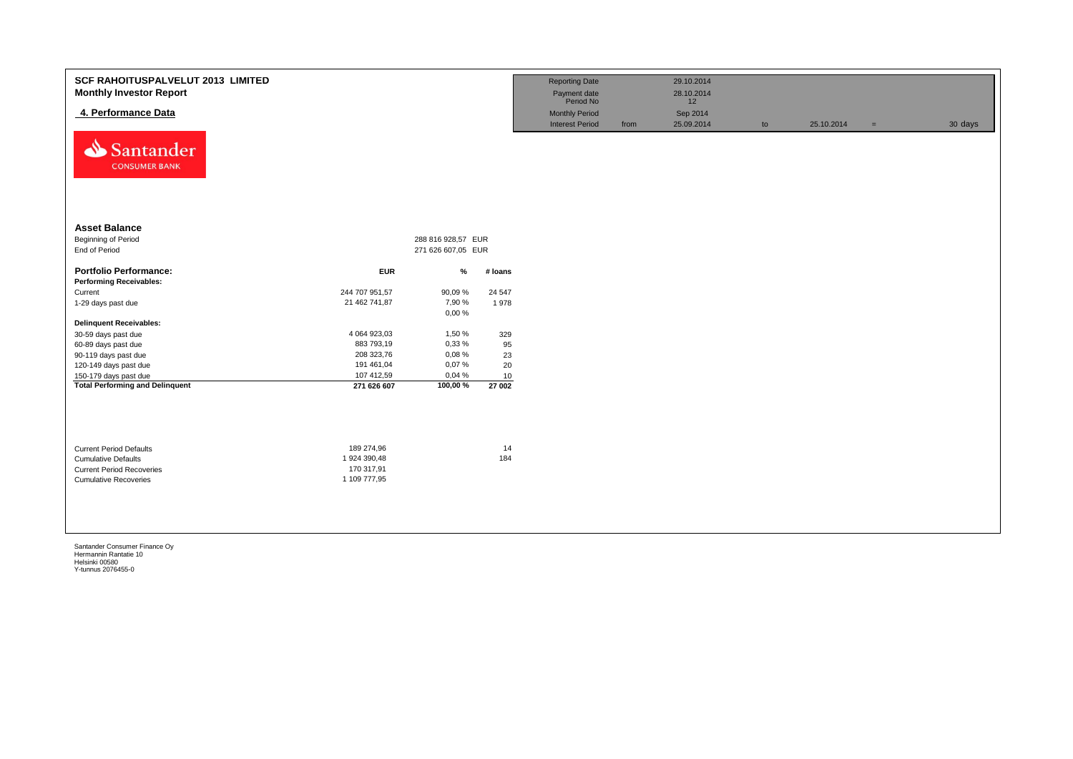| <b>SCF RAHOITUSPALVELUT 2013 LIMITED</b><br><b>Monthly Investor Report</b><br>4. Performance Data<br>Santander<br><b>CONSUMER BANK</b> |                                                          |                                          |                 | <b>Reporting Date</b><br>Payment date<br>Period No<br><b>Monthly Period</b><br><b>Interest Period</b> | from | 29.10.2014<br>28.10.2014<br>12<br>Sep 2014<br>25.09.2014 | to | 25.10.2014 | $=$ | 30 days |
|----------------------------------------------------------------------------------------------------------------------------------------|----------------------------------------------------------|------------------------------------------|-----------------|-------------------------------------------------------------------------------------------------------|------|----------------------------------------------------------|----|------------|-----|---------|
| <b>Asset Balance</b><br>Beginning of Period<br>End of Period                                                                           |                                                          | 288 816 928,57 EUR<br>271 626 607,05 EUR |                 |                                                                                                       |      |                                                          |    |            |     |         |
| <b>Portfolio Performance:</b><br><b>Performing Receivables:</b>                                                                        | <b>EUR</b>                                               | $\%$                                     | # loans         |                                                                                                       |      |                                                          |    |            |     |         |
| Current<br>1-29 days past due                                                                                                          | 244 707 951,57<br>21 462 741,87                          | 90,09%<br>7,90 %<br>0,00%                | 24 5 47<br>1978 |                                                                                                       |      |                                                          |    |            |     |         |
| <b>Delinquent Receivables:</b>                                                                                                         |                                                          |                                          |                 |                                                                                                       |      |                                                          |    |            |     |         |
| 30-59 days past due                                                                                                                    | 4 064 923,03                                             | 1,50 %                                   | 329             |                                                                                                       |      |                                                          |    |            |     |         |
| 60-89 days past due                                                                                                                    | 883 793,19<br>208 323,76                                 | 0,33%<br>0,08%                           | 95<br>23        |                                                                                                       |      |                                                          |    |            |     |         |
| 90-119 days past due<br>120-149 days past due                                                                                          | 191 461,04                                               | 0,07%                                    | 20              |                                                                                                       |      |                                                          |    |            |     |         |
| 150-179 days past due                                                                                                                  | 107 412,59                                               | 0,04%                                    | 10              |                                                                                                       |      |                                                          |    |            |     |         |
| <b>Total Performing and Delinquent</b>                                                                                                 | 271 626 607                                              | 100,00%                                  | 27002           |                                                                                                       |      |                                                          |    |            |     |         |
| <b>Current Period Defaults</b><br><b>Cumulative Defaults</b><br><b>Current Period Recoveries</b><br><b>Cumulative Recoveries</b>       | 189 274,96<br>1 924 390,48<br>170 317,91<br>1 109 777,95 |                                          | 14<br>184       |                                                                                                       |      |                                                          |    |            |     |         |
|                                                                                                                                        |                                                          |                                          |                 |                                                                                                       |      |                                                          |    |            |     |         |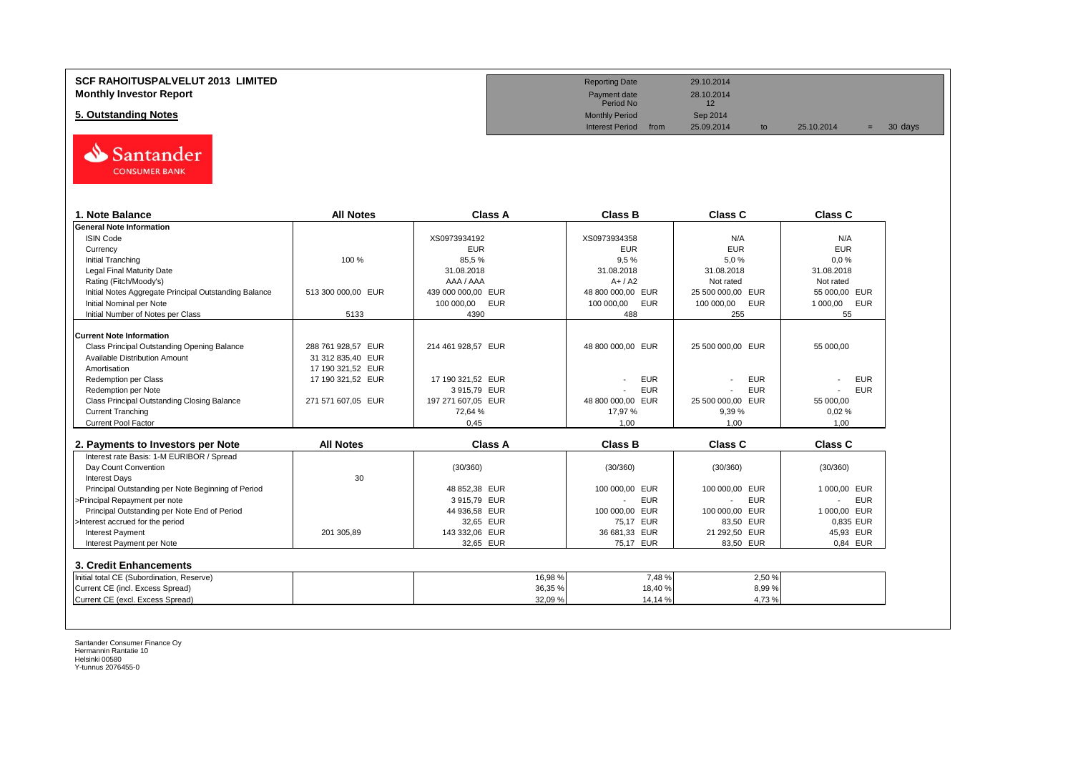#### **SCF RAHOITUSPALVELUT 2013 LIMITED Monthly Investor Report**

**5. Outstanding Notes** 



| 1. Note Balance                                       | <b>All Notes</b>   | <b>Class A</b>           | <b>Class B</b>           | Class C                  | <b>Class C</b>               |
|-------------------------------------------------------|--------------------|--------------------------|--------------------------|--------------------------|------------------------------|
| <b>General Note Information</b>                       |                    |                          |                          |                          |                              |
| <b>ISIN Code</b>                                      |                    | XS0973934192             | XS0973934358             | N/A                      | N/A                          |
| Currencv                                              |                    | <b>EUR</b>               | <b>EUR</b>               | <b>EUR</b>               | <b>EUR</b>                   |
| <b>Initial Tranching</b>                              | 100 %              | 85.5%                    | 9,5%                     | 5.0%                     | 0.0%                         |
| Legal Final Maturity Date                             |                    | 31.08.2018               | 31.08.2018               | 31.08.2018               | 31.08.2018                   |
| Rating (Fitch/Moody's)                                |                    | AAA / AAA                | $A+/A2$                  | Not rated                | Not rated                    |
| Initial Notes Aggregate Principal Outstanding Balance | 513 300 000.00 EUR | 439 000 000.00 EUR       | 48 800 000.00 EUR        | 25 500 000.00 EUR        | 55 000.00 EUR                |
| Initial Nominal per Note                              |                    | <b>EUR</b><br>100 000.00 | <b>EUR</b><br>100 000,00 | <b>EUR</b><br>100 000.00 | 1 000,00<br>EUR              |
| Initial Number of Notes per Class                     | 5133               | 4390                     | 488                      | 255                      | 55                           |
| <b>Current Note Information</b>                       |                    |                          |                          |                          |                              |
| Class Principal Outstanding Opening Balance           | 288 761 928.57 EUR | 214 461 928.57 EUR       | 48 800 000.00 EUR        | 25 500 000.00 EUR        | 55 000.00                    |
| <b>Available Distribution Amount</b>                  | 31 312 835.40 EUR  |                          |                          |                          |                              |
| Amortisation                                          | 17 190 321,52 EUR  |                          |                          |                          |                              |
| Redemption per Class                                  | 17 190 321,52 EUR  | 17 190 321.52 EUR        | <b>EUR</b>               | <b>EUR</b>               | <b>EUR</b>                   |
| Redemption per Note                                   |                    | 3915,79 EUR              | <b>EUR</b>               | <b>EUR</b>               | <b>EUR</b>                   |
| Class Principal Outstanding Closing Balance           | 271 571 607.05 EUR | 197 271 607.05 EUR       | 48 800 000.00 EUR        | 25 500 000,00 EUR        | 55 000.00                    |
| <b>Current Tranching</b>                              |                    | 72.64%                   | 17.97 %                  | 9.39%                    | 0.02%                        |
| <b>Current Pool Factor</b>                            |                    | 0.45                     | 1.00                     | 1.00                     | 1.00                         |
|                                                       |                    |                          |                          |                          |                              |
| 2. Payments to Investors per Note                     | <b>All Notes</b>   | <b>Class A</b>           | <b>Class B</b>           | <b>Class C</b>           | <b>Class C</b>               |
| Interest rate Basis: 1-M EURIBOR / Spread             |                    |                          |                          |                          |                              |
| Day Count Convention                                  |                    | (30/360)                 | (30/360)                 | (30/360)                 | (30/360)                     |
| <b>Interest Days</b>                                  | 30                 |                          |                          |                          |                              |
| Principal Outstanding per Note Beginning of Period    |                    | 48 852,38 EUR            | 100 000,00 EUR           | 100 000.00 EUR           | 1 000,00 EUR                 |
| >Principal Repayment per note                         |                    | 3915,79 EUR              | <b>EUR</b>               | <b>EUR</b>               | <b>EUR</b><br>$\overline{a}$ |
| Principal Outstanding per Note End of Period          |                    | 44 936,58 EUR            | 100 000,00 EUR           | 100 000,00 EUR           | 1 000,00 EUR                 |
| >Interest accrued for the period                      |                    | 32.65 EUR                | 75.17 EUR                | 83,50 EUR                | 0.835 EUR                    |
| <b>Interest Payment</b>                               | 201 305,89         | 143 332,06 EUR           | 36 681,33 EUR            | 21 292,50 EUR            | 45,93 EUR                    |
| Interest Payment per Note                             |                    | 32,65 EUR                | 75,17 EUR                | 83,50 EUR                | 0.84 EUR                     |
| 3. Credit Enhancements                                |                    |                          |                          |                          |                              |
| Initial total CE (Subordination, Reserve)             |                    | 16,98 %                  | 7.48%                    | 2.50 %                   |                              |
| Current CE (incl. Excess Spread)                      |                    | 36,35 %                  | 18,40 %                  | 8,99%                    |                              |
| Current CE (excl. Excess Spread)                      |                    | 32,09 %                  | 14,14 %                  | 4,73%                    |                              |

| <b>Reporting Date</b>     |      | 29.10.2014       |    |            |     |         |  |
|---------------------------|------|------------------|----|------------|-----|---------|--|
| Payment date<br>Period No |      | 28.10.2014<br>12 |    |            |     |         |  |
| <b>Monthly Period</b>     |      | Sep 2014         |    |            |     |         |  |
| <b>Interest Period</b>    | from | 25.09.2014       | to | 25.10.2014 | $=$ | 30 days |  |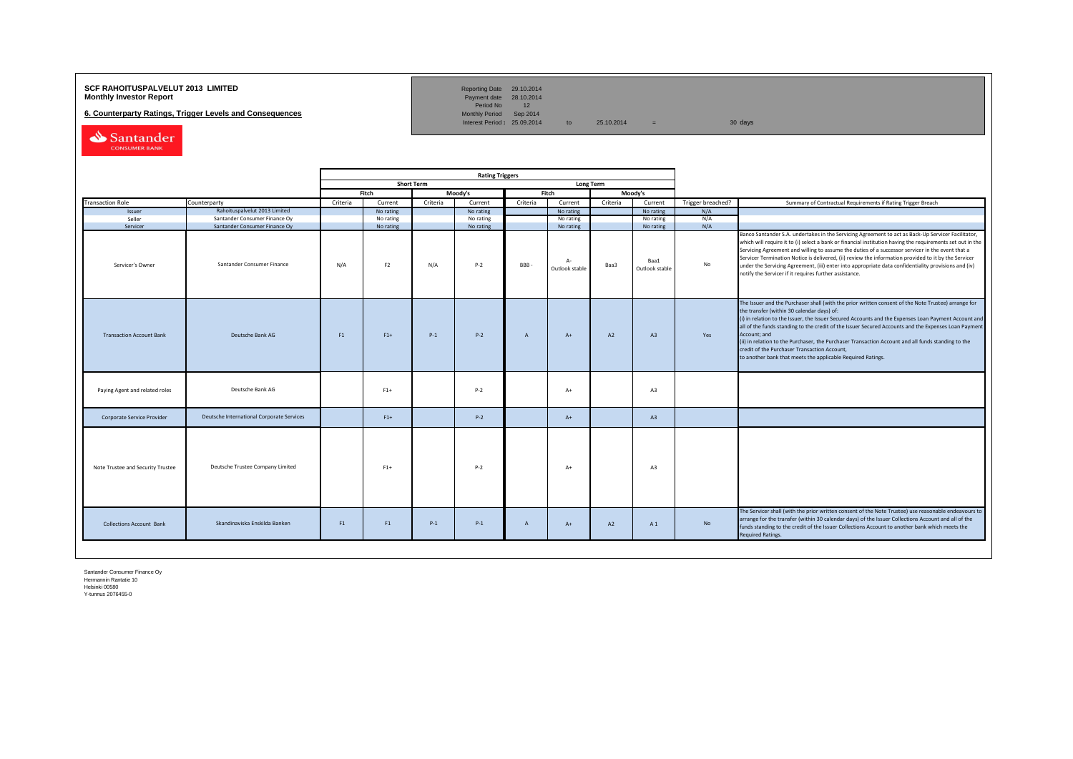## **SCF RAHOITUSPALVELUT 2013 LIMITED**<br>**Monthly Investor Report** Payment date 28.10.2014

**6. Counterparty Ratings, Trigger Levels and Consequences** 

Reporting Date 29.10.2014<br>Payment date 28.10.2014<br>Period No 12<br>Monthly Period Sep 2014

Interest Period:  $25.09.2014$  to  $25.10.2014$  = 30 days

Santander

|                                   |                                           | <b>Rating Triggers</b> |                |                   |           |              |                         |                  |                        |                   |                                                                                                                                                                                                                                                                                                                                                                                                                                                                                                                                                                                                        |
|-----------------------------------|-------------------------------------------|------------------------|----------------|-------------------|-----------|--------------|-------------------------|------------------|------------------------|-------------------|--------------------------------------------------------------------------------------------------------------------------------------------------------------------------------------------------------------------------------------------------------------------------------------------------------------------------------------------------------------------------------------------------------------------------------------------------------------------------------------------------------------------------------------------------------------------------------------------------------|
|                                   |                                           |                        |                | <b>Short Term</b> |           |              |                         | <b>Long Term</b> |                        |                   |                                                                                                                                                                                                                                                                                                                                                                                                                                                                                                                                                                                                        |
|                                   |                                           |                        | Fitch          |                   | Moody's   |              | Fitch                   |                  | Moody's                |                   |                                                                                                                                                                                                                                                                                                                                                                                                                                                                                                                                                                                                        |
| <b>Transaction Role</b>           | Counterparty                              | Criteria               | Current        | Criteria          | Current   | Criteria     | Current                 | Criteria         | Current                | Trigger breached? | Summary of Contractual Requirements if Rating Trigger Breach                                                                                                                                                                                                                                                                                                                                                                                                                                                                                                                                           |
| Issuer                            | Rahoituspalvelut 2013 Limited             |                        | No rating      |                   | No rating |              | No rating               |                  | No rating              | N/A               |                                                                                                                                                                                                                                                                                                                                                                                                                                                                                                                                                                                                        |
| Seller                            | Santander Consumer Finance Oy             |                        | No rating      |                   | No rating |              | No rating               |                  | No rating              | N/A               |                                                                                                                                                                                                                                                                                                                                                                                                                                                                                                                                                                                                        |
| Servicer                          | Santander Consumer Finance Oy             |                        | No rating      |                   | No rating |              | No rating               |                  | No rating              | N/A               |                                                                                                                                                                                                                                                                                                                                                                                                                                                                                                                                                                                                        |
| Servicer's Owner                  | Santander Consumer Finance                | N/A                    | F <sub>2</sub> | N/A               | $P-2$     | <b>BBB</b>   | $A -$<br>Outlook stable | Baa3             | Baa1<br>Outlook stable | No                | Banco Santander S.A. undertakes in the Servicing Agreement to act as Back-Up Servicer Facilitator,<br>which will require it to (i) select a bank or financial institution having the requirements set out in the<br>Servicing Agreement and willing to assume the duties of a successor servicer in the event that a<br>Servicer Termination Notice is delivered, (ii) review the information provided to it by the Servicer<br>under the Servicing Agreement, (iii) enter into appropriate data confidentiality provisions and (iv)<br>notify the Servicer if it requires further assistance.         |
| <b>Transaction Account Bank</b>   | Deutsche Bank AG                          | F1                     | $F1+$          | $P-1$             | $P-2$     | A            | $A+$                    | A2               | A3                     | Yes               | The Issuer and the Purchaser shall (with the prior written consent of the Note Trustee) arrange for<br>the transfer (within 30 calendar days) of:<br>(i) in relation to the Issuer, the Issuer Secured Accounts and the Expenses Loan Payment Account and<br>all of the funds standing to the credit of the Issuer Secured Accounts and the Expenses Loan Payment<br>Account; and<br>(ii) in relation to the Purchaser, the Purchaser Transaction Account and all funds standing to the<br>credit of the Purchaser Transaction Account,<br>to another bank that meets the applicable Required Ratings. |
| Paying Agent and related roles    | Deutsche Bank AG                          |                        | $F1+$          |                   | $P-2$     |              | $A+$                    |                  | A3                     |                   |                                                                                                                                                                                                                                                                                                                                                                                                                                                                                                                                                                                                        |
| Corporate Service Provider        | Deutsche International Corporate Services |                        | $F1+$          |                   | $P-2$     |              | $A+$                    |                  | A3                     |                   |                                                                                                                                                                                                                                                                                                                                                                                                                                                                                                                                                                                                        |
| Note Trustee and Security Trustee | Deutsche Trustee Company Limited          |                        | $F1+$          |                   | $P-2$     |              | $A+$                    |                  | A3                     |                   |                                                                                                                                                                                                                                                                                                                                                                                                                                                                                                                                                                                                        |
| <b>Collections Account Bank</b>   | Skandinaviska Enskilda Banken             | F1                     | F1             | $P-1$             | $P-1$     | $\mathsf{A}$ | $A+$                    | A2               | A 1                    | No                | The Servicer shall (with the prior written consent of the Note Trustee) use reasonable endeavours to<br>arrange for the transfer (within 30 calendar days) of the Issuer Collections Account and all of the<br>funds standing to the credit of the Issuer Collections Account to another bank which meets the<br><b>Required Ratings.</b>                                                                                                                                                                                                                                                              |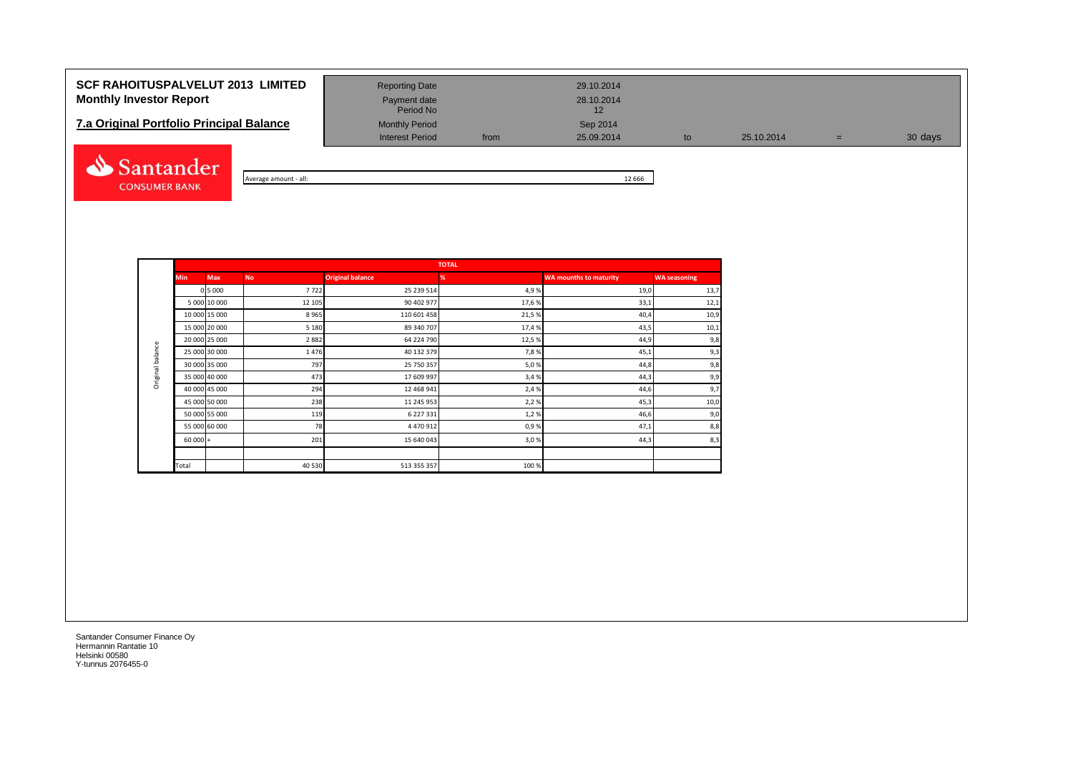# **SCF RAHOITUSPALVELUT 2013 LIMITED** Reporting Date 29.10.2014 **Monthly Investor Report Payment date** Payment date 28.10.2014

| <b>7.a Original Portfolio Principal Balance</b> | <b>Monthly Period</b> |      | Sep 2014   |
|-------------------------------------------------|-----------------------|------|------------|
|                                                 | Interest Period       | from | 25.09.2014 |



| - all:<br>amoun | 666 |
|-----------------|-----|

Period No

Interest Period from 25.09.2014 to 25.10.2014 = 30 days

|                  |            |               |           |                         | <b>TOTAL</b> |                               |                     |
|------------------|------------|---------------|-----------|-------------------------|--------------|-------------------------------|---------------------|
|                  | <b>Min</b> | <b>Max</b>    | <b>No</b> | <b>Original balance</b> | %            | <b>WA mounths to maturity</b> | <b>WA seasoning</b> |
|                  |            | 0 5 0 0 0     | 7722      | 25 239 514              | 4,9%         | 19,0                          | 13,7                |
|                  |            | 5 000 10 000  | 12 105    | 90 402 977              | 17,6%        | 33,1                          | 12,1                |
|                  |            | 10 000 15 000 | 8965      | 110 601 458             | 21,5%        | 40,4                          | 10,9                |
|                  |            | 15 000 20 000 | 5 1 8 0   | 89 340 707              | 17,4 %       | 43,5                          | 10,1                |
| Original balance |            | 20 000 25 000 | 2882      | 64 224 790              | 12,5 %       | 44,9                          | 9,8                 |
|                  |            | 25 000 30 000 | 1476      | 40 132 379              | 7,8%         | 45,1                          | 9,3                 |
|                  |            | 30 000 35 000 | 797       | 25 750 357              | 5,0%         | 44,8                          | 9,8                 |
|                  |            | 35 000 40 000 | 473       | 17 609 997              | 3,4%         | 44,3                          | 9,9                 |
|                  |            | 40 000 45 000 | 294       | 12 468 941              | 2,4 %        | 44,6                          | 9,7                 |
|                  |            | 45 000 50 000 | 238       | 11 245 953              | 2,2%         | 45,3                          | 10,0                |
|                  |            | 50 000 55 000 | 119       | 6 227 331               | 1,2%         | 46,6                          | 9,0                 |
|                  |            | 55 000 60 000 | 78        | 4 470 912               | 0,9%         | 47,1                          | 8,8                 |
|                  | $60000 +$  |               | 201       | 15 640 043              | 3,0%         | 44,3                          | 8,3                 |
|                  |            |               |           |                         |              |                               |                     |
|                  | Total      |               | 40 530    | 513 355 357             | 100%         |                               |                     |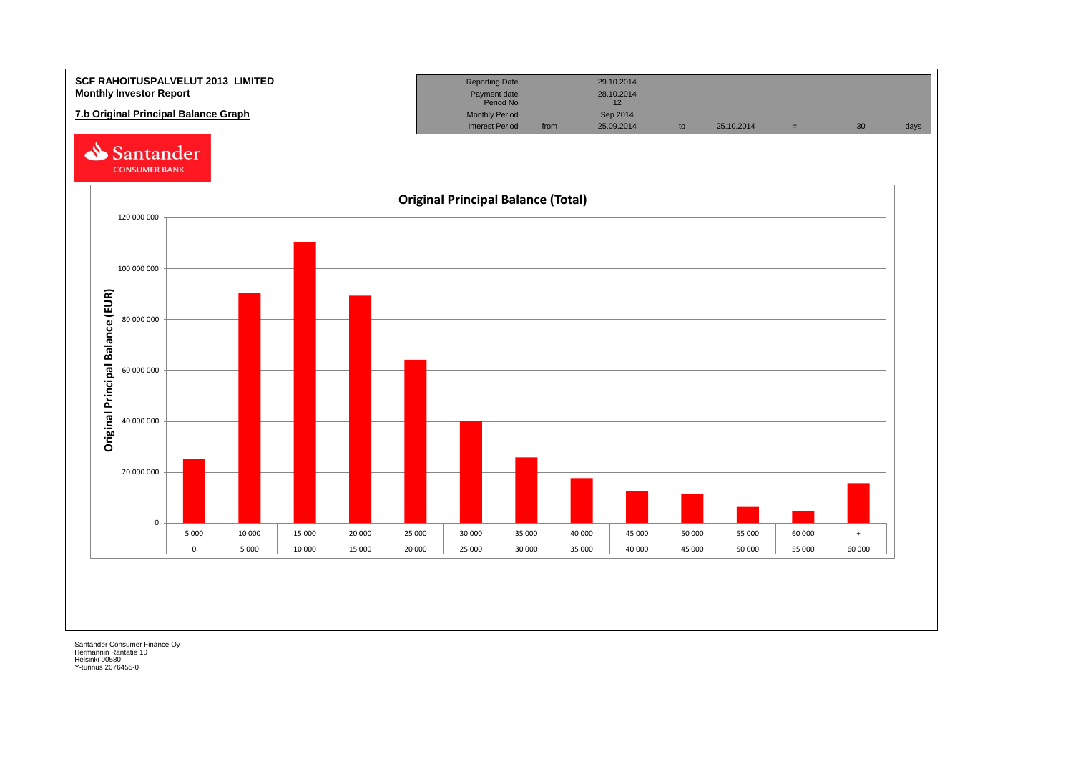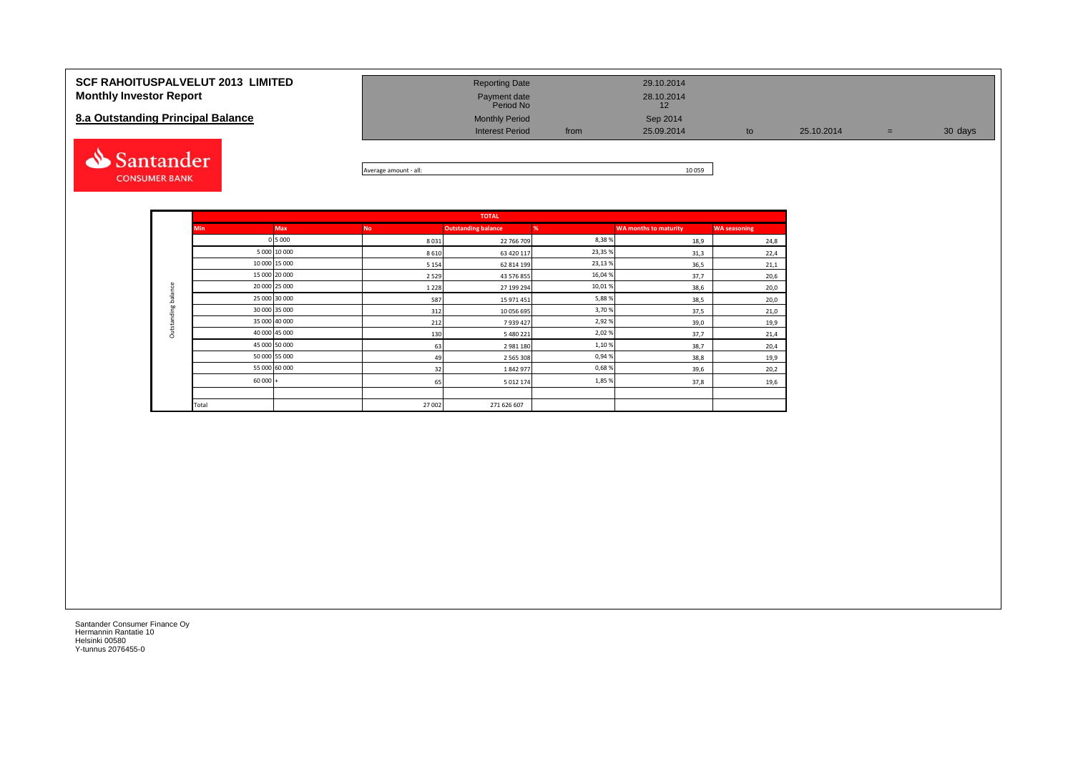| <b>SCF RAHOITUSPALVELUT 2013 LIMITED</b><br><b>Monthly Investor Report</b><br>8.a Outstanding Principal Balance | <b>Reporting Date</b><br>Payment date<br>Period No<br><b>Monthly Period</b><br><b>Interest Period</b> | from | 29.10.2014<br>28.10.2014<br>Sep 2014<br>25.09.2014 | to | 25.10.2014 | $=$ | 30 days |
|-----------------------------------------------------------------------------------------------------------------|-------------------------------------------------------------------------------------------------------|------|----------------------------------------------------|----|------------|-----|---------|
| Santander                                                                                                       |                                                                                                       |      | 10000                                              |    |            |     |         |



|                     |               |               |           | <b>TOTAL</b>               |         |                              |                     |
|---------------------|---------------|---------------|-----------|----------------------------|---------|------------------------------|---------------------|
|                     | <b>Min</b>    | <b>Max</b>    | <b>No</b> | <b>Outstanding balance</b> | %       | <b>WA months to maturity</b> | <b>WA seasoning</b> |
|                     |               | 0 5 0 0 0     | 8031      | 22 766 709                 | 8,38%   | 18,9                         | 24,8                |
|                     |               | 5 000 10 000  | 8610      | 63 420 117                 | 23,35%  | 31,3                         | 22,4                |
|                     |               | 10 000 15 000 | 5 1 5 4   | 62 814 199                 | 23,13 % | 36,5                         | 21,1                |
|                     |               | 15 000 20 000 | 2 5 2 9   | 43 576 855                 | 16,04%  | 37,7                         | 20,6                |
|                     |               | 20 000 25 000 | 1 2 2 8   | 27 199 294                 | 10,01%  | 38,6                         | 20,0                |
|                     |               | 25 000 30 000 | 587       | 15 971 451                 | 5,88%   | 38,5                         | 20,0                |
| Outstanding balance | 30 000 35 000 |               | 312       | 10 056 695                 | 3,70%   | 37,5                         | 21,0                |
|                     |               | 35 000 40 000 | 212       | 7939427                    | 2,92%   | 39,0                         | 19,9                |
|                     |               | 40 000 45 000 | 130       | 5 480 221                  | 2,02%   | 37,7                         | 21,4                |
|                     |               | 45 000 50 000 | 63        | 2981180                    | 1,10%   | 38,7                         | 20,4                |
|                     |               | 50 000 55 000 | 49        | 2 5 6 5 3 0 8              | 0,94%   | 38,8                         | 19,9                |
|                     |               | 55 000 60 000 | 32        | 1842977                    | 0,68%   | 39,6                         | 20,2                |
|                     | $60000 +$     |               | 65        | 5 012 174                  | 1,85%   | 37,8                         | 19,6                |
|                     |               |               |           |                            |         |                              |                     |
|                     | Total         |               | 27 002    | 271 626 607                |         |                              |                     |

**CONSUMER BANK**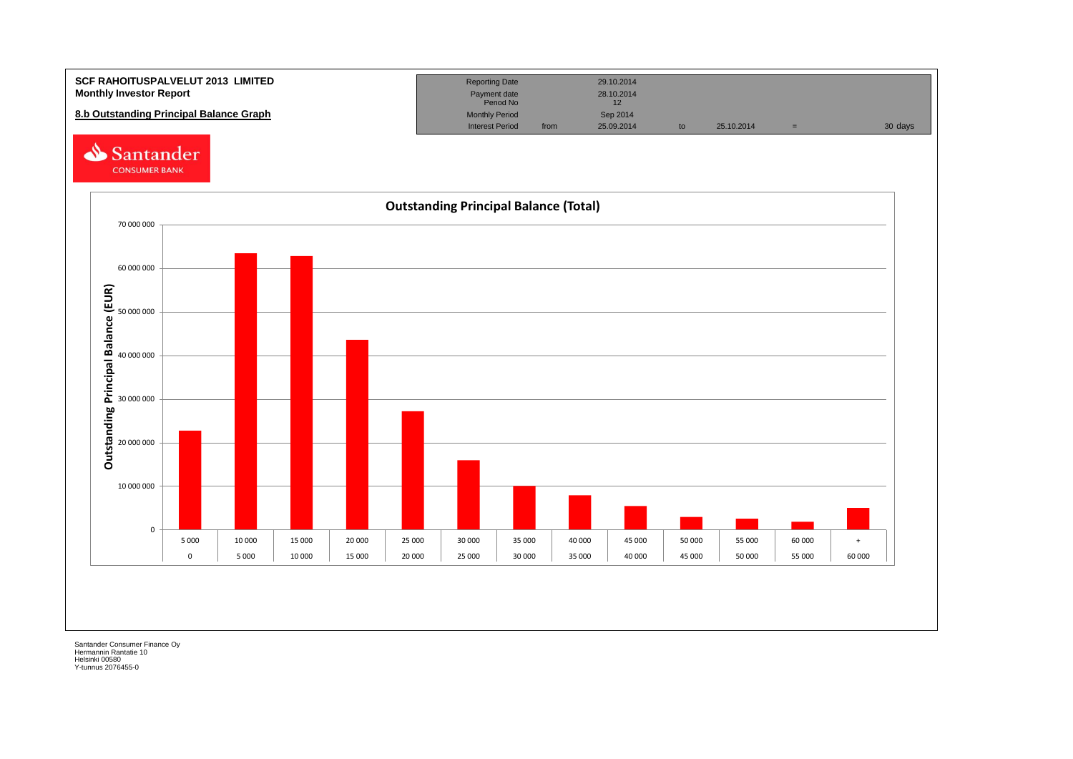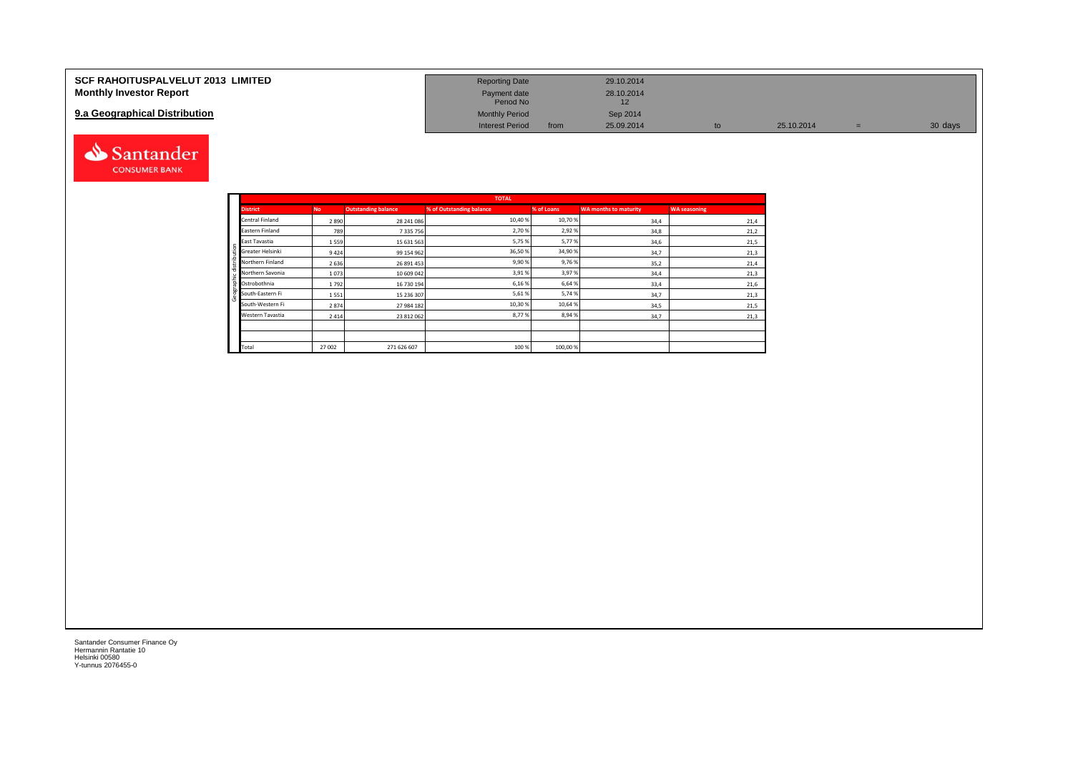| <b>SCF RAHOITUSPALVELUT 2013 LIMITED</b> | <b>Reporting Date</b>     |      | 29.10.2014 |            |         |
|------------------------------------------|---------------------------|------|------------|------------|---------|
| <b>Monthly Investor Report</b>           | Payment date<br>Period No |      | 28.10.2014 |            |         |
| 9.a Geographical Distribution            | <b>Monthly Period</b>     |      | Sep 2014   |            |         |
|                                          | <b>Interest Period</b>    | from | 25.09.2014 | 25.10.2014 | 30 days |



|              |                  |           |                            | <b>TOTAL</b>             |            |                       |                     |
|--------------|------------------|-----------|----------------------------|--------------------------|------------|-----------------------|---------------------|
|              | <b>District</b>  | <b>No</b> | <b>Outstanding balance</b> | % of Outstanding balance | % of Loans | WA months to maturity | <b>WA seasoning</b> |
|              | Central Finland  | 2890      | 28 241 086                 | 10,40 %                  | 10,70%     | 34,4                  | 21,4                |
|              | Eastern Finland  | 789       | 7 3 3 5 7 5 6              | 2,70%                    | 2,92%      | 34,8                  | 21,2                |
|              | East Tavastia    | 1559      | 15 631 563                 | 5,75%                    | 5,77%      | 34,6                  | 21,5                |
|              | Greater Helsinki | 9424      | 99 154 962                 | 36,50%                   | 34,90%     | 34,7                  | 21,3                |
| distribution | Northern Finland | 2636      | 26 891 453                 | 9,90%                    | 9,76%      | 35,2                  | 21,4                |
|              | Northern Savonia | 1073      | 10 609 042                 | 3,91%                    | 3,97%      | 34,4                  | 21,3                |
| Geographic   | Ostrobothnia     | 1792      | 16 730 194                 | 6,16%                    | 6,64%      | 33,4                  | 21,6                |
|              | South-Eastern Fi | 1551      | 15 236 307                 | 5,61%                    | 5,74%      | 34,7                  | 21,3                |
|              | South-Western Fi | 2874      | 27 984 182                 | 10,30%                   | 10,64%     | 34,5                  | 21,5                |
|              | Western Tavastia | 2414      | 23 812 062                 | 8,77%                    | 8,94%      | 34,7                  | 21,3                |
|              |                  |           |                            |                          |            |                       |                     |
|              |                  |           |                            |                          |            |                       |                     |
|              | Total            | 27 002    | 271 626 607                | 100 %                    | 100,00%    |                       |                     |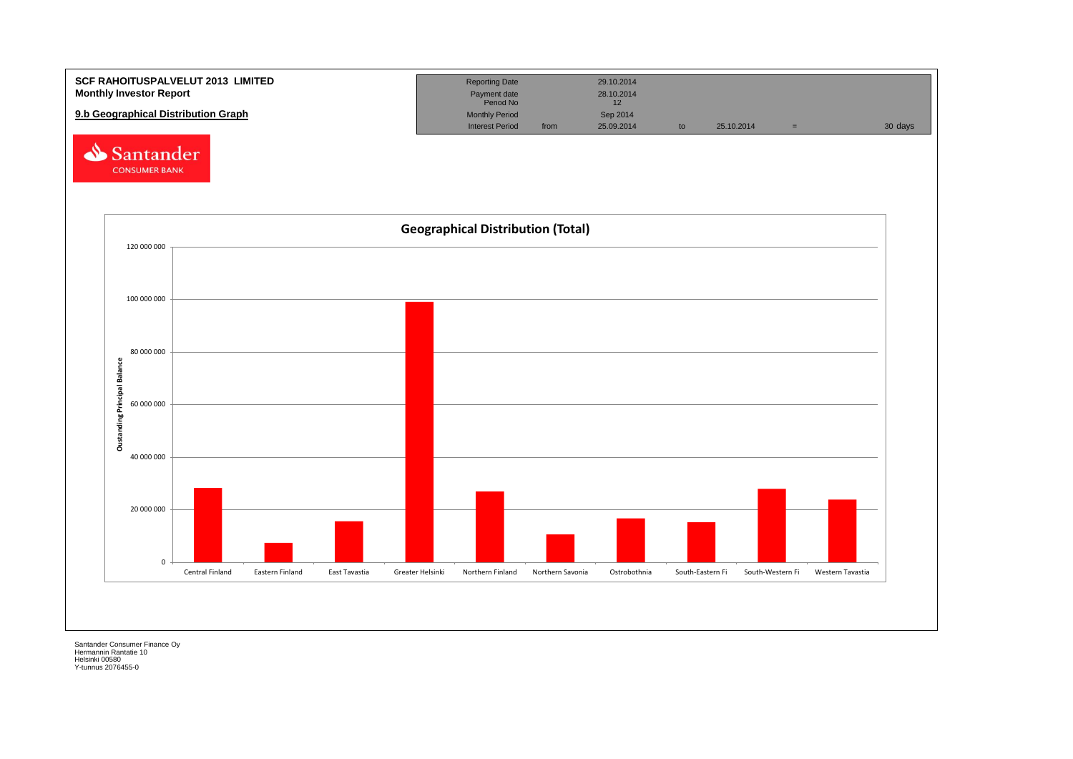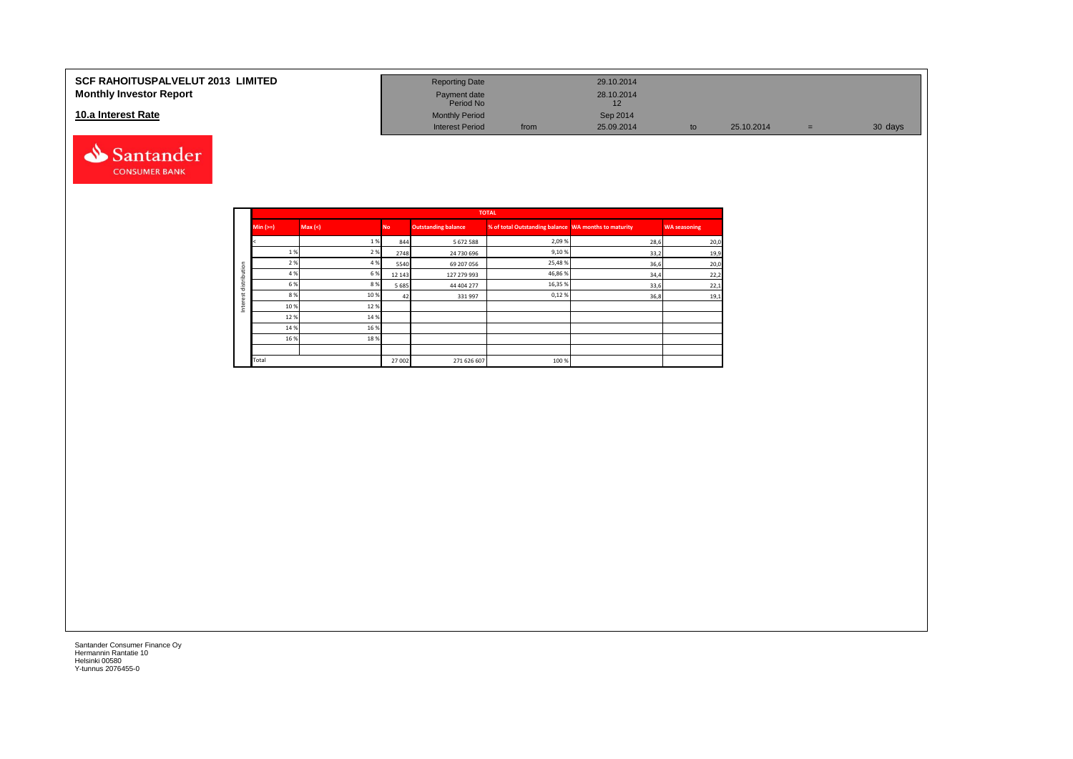#### **SCF RAHOITUSPALVELUT 2013 LIMITED Monthly Investor Report**

### **10.a Interest Rate**



| <b>Reporting Date</b>     |      | 29.10.2014       |    |            |     |         |
|---------------------------|------|------------------|----|------------|-----|---------|
| Payment date<br>Period No |      | 28.10.2014<br>12 |    |            |     |         |
| <b>Monthly Period</b>     |      | Sep 2014         |    |            |     |         |
| <b>Interest Period</b>    | from | 25.09.2014       | to | 25.10.2014 | $=$ | 30 days |

|         |          |         |           |                            | <b>TOTAL</b>                                         |      |                     |
|---------|----------|---------|-----------|----------------------------|------------------------------------------------------|------|---------------------|
|         | $Min (=$ | Max (<) | <b>No</b> | <b>Outstanding balance</b> | % of total Outstanding balance WA months to maturity |      | <b>WA seasoning</b> |
|         |          | 1%      | 844       | 5672588                    | 2,09%                                                | 28,6 | 20,0                |
|         | 1 %      | 2 %     | 2748      | 24 730 696                 | 9,10%                                                | 33,2 | 19,9                |
| ution   | 2 %      | 4 %     | 5540      | 69 207 056                 | 25,48%                                               | 36,6 | 20,0                |
|         | 4 %      | 6 %     | 12 14 3   | 127 279 993                | 46,86%                                               | 34,4 | 22,2                |
| distrib | 6 %      | 8%      | 5685      | 44 404 277                 | 16,35%                                               | 33,6 | 22,1                |
|         | 8%       | 10%     | 42        | 331997                     | 0,12%                                                | 36,8 | 19,1                |
| ğ<br>Ξ  | 10%      | 12%     |           |                            |                                                      |      |                     |
|         | 12%      | 14 %    |           |                            |                                                      |      |                     |
|         | 14 %     | 16%     |           |                            |                                                      |      |                     |
|         | 16 %     | 18%     |           |                            |                                                      |      |                     |
|         |          |         |           |                            |                                                      |      |                     |
|         | Total    |         | 27002     | 271 626 607                | 100 %                                                |      |                     |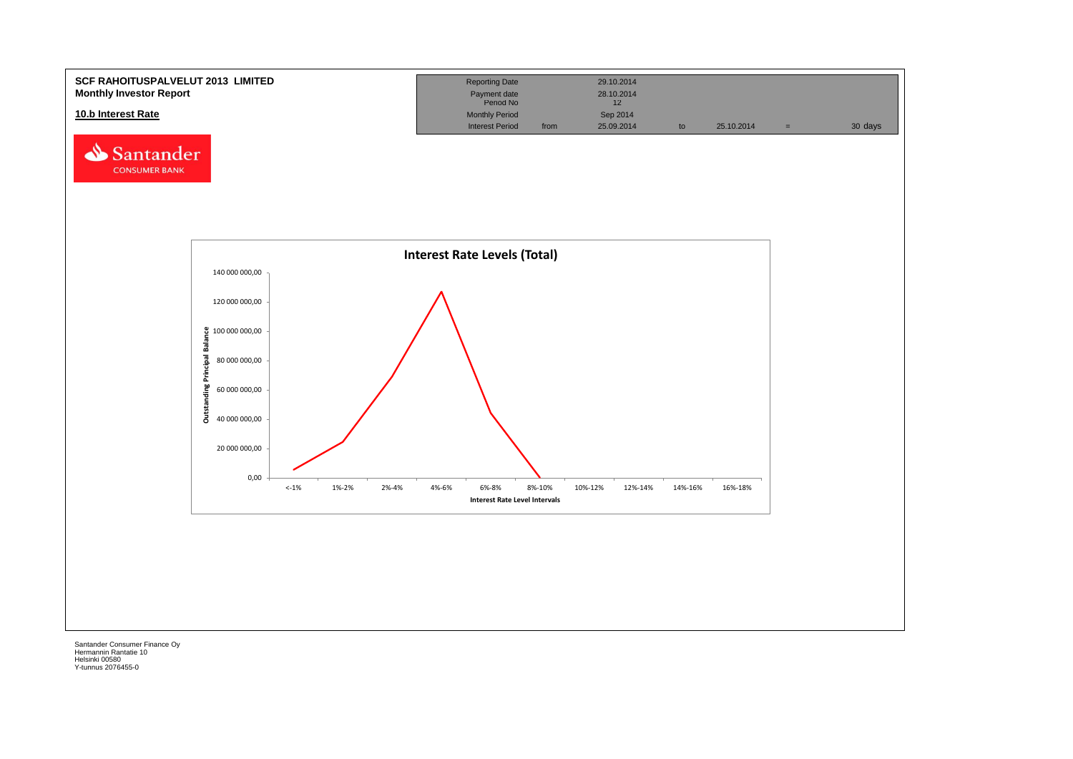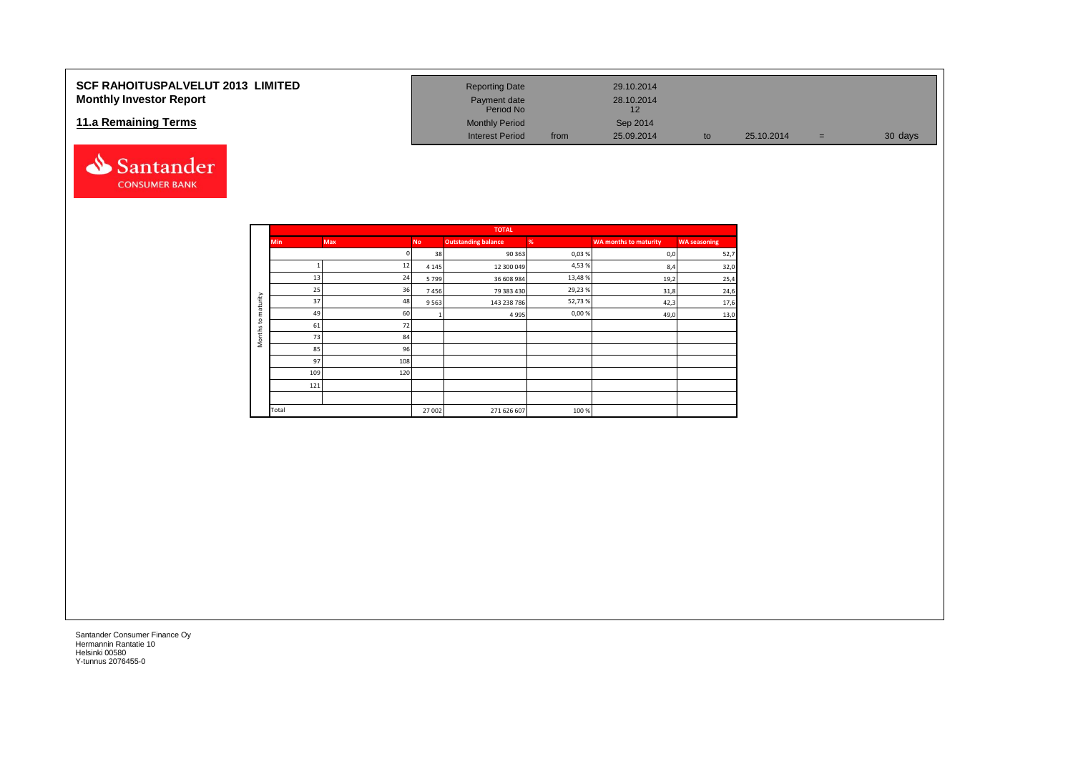### **SCF RAHOITUSPALVELUT 2013 LIMITED Monthly Investor Report**

### **11.a Remaining Terms**



| <b>Reporting Date</b>     |      | 29.10.2014       |    |            |     |         |
|---------------------------|------|------------------|----|------------|-----|---------|
| Payment date<br>Period No |      | 28.10.2014<br>12 |    |            |     |         |
| <b>Monthly Period</b>     |      | Sep 2014         |    |            |     |         |
| <b>Interest Period</b>    | from | 25.09.2014       | to | 25.10.2014 | $=$ | 30 days |

|                     |            |            |           | <b>TOTAL</b>               |        |                              |                     |
|---------------------|------------|------------|-----------|----------------------------|--------|------------------------------|---------------------|
|                     | <b>Min</b> | <b>Max</b> | <b>No</b> | <b>Outstanding balance</b> | %      | <b>WA months to maturity</b> | <b>WA seasoning</b> |
|                     |            |            | 38        | 90 363                     | 0,03%  | 0,0                          | 52,7                |
|                     |            | 12         | 4 1 4 5   | 12 300 049                 | 4,53%  | 8,4                          | 32,0                |
|                     | 13         | 24         | 5799      | 36 608 984                 | 13,48% | 19,2                         | 25,4                |
|                     | 25         | 36         | 7456      | 79 383 430                 | 29,23% | 31,8                         | 24,6                |
| aturity             | 37         | 48         | 9563      | 143 238 786                | 52,73% | 42,3                         | 17,6                |
| ε                   | 49         | 60         |           | 4 9 9 5                    | 0,00%  | 49,0                         | 13,0                |
| $\mathbf{S}$        | 61         | 72         |           |                            |        |                              |                     |
| Months <sub>1</sub> | 73         | 84         |           |                            |        |                              |                     |
|                     | 85         | 96         |           |                            |        |                              |                     |
|                     | 97         | 108        |           |                            |        |                              |                     |
|                     | 109        | 120        |           |                            |        |                              |                     |
|                     | 121        |            |           |                            |        |                              |                     |
|                     |            |            |           |                            |        |                              |                     |
|                     | Total      |            | 27 002    | 271 626 607                | 100 %  |                              |                     |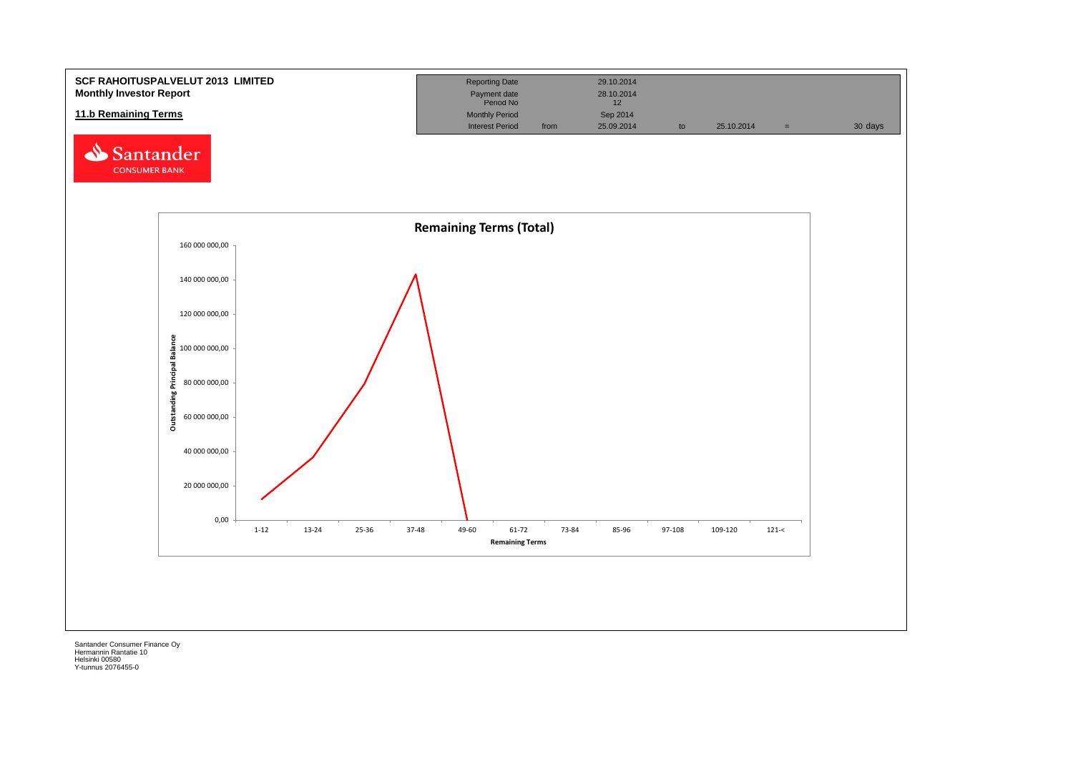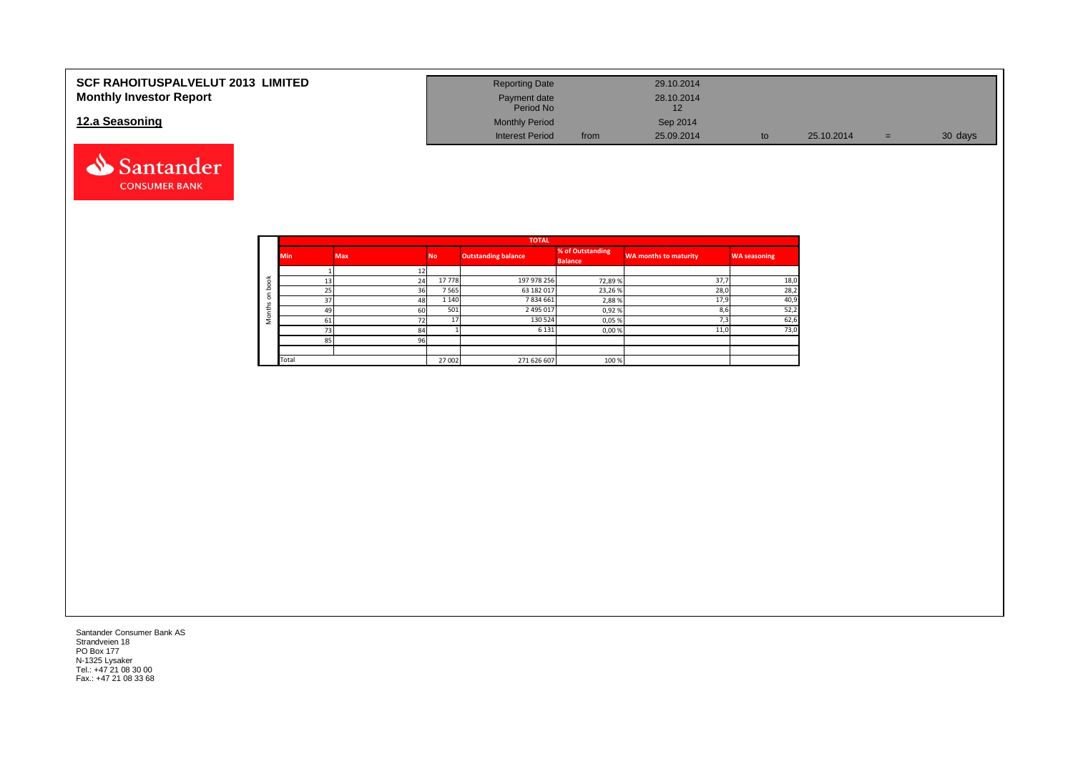| <b>SCF RAHOITUSPALVELUT 2013 LIMITED</b> | <b>Reporting Date</b>     |      | 29.10.2014 |    |            |     |         |
|------------------------------------------|---------------------------|------|------------|----|------------|-----|---------|
| <b>Monthly Investor Report</b>           | Payment date<br>Period No |      | 28.10.2014 |    |            |     |         |
| 12.a Seasoning                           | <b>Monthly Period</b>     |      | Sep 2014   |    |            |     |         |
|                                          | <b>Interest Period</b>    | from | 25.09.2014 | to | 25.10.2014 | $=$ | 30 days |



|            |            |            |           | <b>TOTAL</b>               |                                    |                              |                     |
|------------|------------|------------|-----------|----------------------------|------------------------------------|------------------------------|---------------------|
|            | <b>Min</b> | <b>Max</b> | <b>No</b> | <b>Outstanding balance</b> | % of Outstanding<br><b>Balance</b> | <b>WA months to maturity</b> | <b>WA seasoning</b> |
|            |            |            |           |                            |                                    |                              |                     |
| $\breve{}$ | 13         | 24         | 17778     | 197 978 256                | 72,89%                             | 37.7                         | 18,0                |
| c          | 25         | 36         | 7 5 6 5   | 63 182 017                 | 23,26%                             | 28,0                         | 28,2                |
| $\circ$    | 37         | 48         | 1 1 4 0   | 7834661                    | 2,88%                              | 17,9                         | 40,9                |
| £          | 49         | 60         | 501       | 2 495 017                  | 0,92%                              | 8,6                          | 52,2                |
| c<br>∠     | 61         | 72         | 17        | 130 524                    | 0,05%                              | 7,3                          | 62,6                |
|            | 73         | 84         |           | 6 1 3 1                    | 0,00%                              | 11,0                         | 73,0                |
|            | 85         | 96         |           |                            |                                    |                              |                     |
|            |            |            |           |                            |                                    |                              |                     |
|            | Total      |            | 27 002    | 271 626 607                | 100 %                              |                              |                     |

Santander Consumer Bank AS Strandveien 18 PO Box 177 N-1325 Lysaker Tel.: +47 21 08 30 00 Fax.: +47 21 08 33 68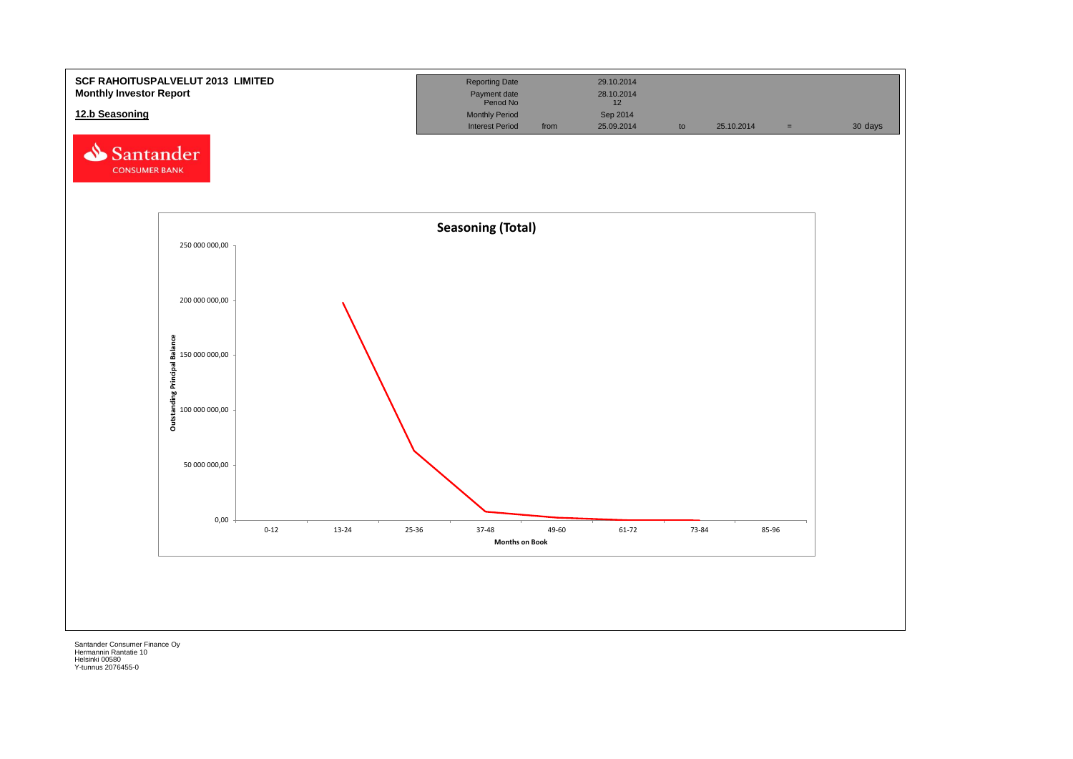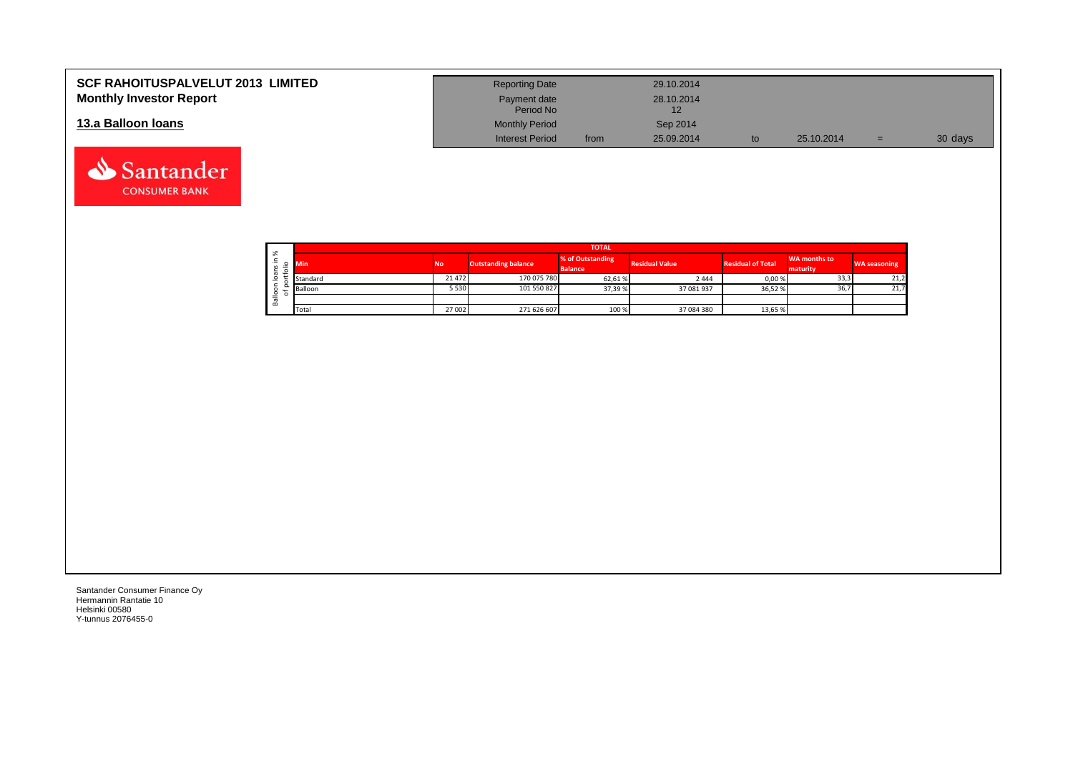| <b>SCF RAHOITUSPALVELUT 2013 LIMITED</b> | <b>Reporting Date</b>     |      | 29.10.2014 |            |     |         |
|------------------------------------------|---------------------------|------|------------|------------|-----|---------|
| <b>Monthly Investor Report</b>           | Payment date<br>Period No |      | 28.10.2014 |            |     |         |
| 13.a Balloon Ioans                       | <b>Monthly Period</b>     |      | Sep 2014   |            |     |         |
|                                          | <b>Interest Period</b>    | from | 25.09.2014 | 25.10.2014 | $=$ | 30 days |

|                           |        | <b>TOTAL</b> |           |                            |                                    |                       |                          |                          |                     |  |  |  |  |  |  |
|---------------------------|--------|--------------|-----------|----------------------------|------------------------------------|-----------------------|--------------------------|--------------------------|---------------------|--|--|--|--|--|--|
| ∸.<br>≔<br>$\overline{ }$ | వి     | <b>Min</b>   | <b>No</b> | <b>Outstanding balance</b> | % of Outstanding<br><b>Balance</b> | <b>Residual Value</b> | <b>Residual of Total</b> | WA months to<br>maturity | <b>WA seasoning</b> |  |  |  |  |  |  |
|                           | ത      | Standard     | 21 472    | 170 075 780                | 62,61%                             | 2444                  | 0,00%                    | 33,3                     | 21,2                |  |  |  |  |  |  |
|                           | ∽      | Balloon      | 5 5 3 0   | 101 550 827                | 37,39 %                            | 37 081 937            | 36,52 %                  | 36,7                     | 21,7                |  |  |  |  |  |  |
|                           | ≗<br>≃ |              |           |                            |                                    |                       |                          |                          |                     |  |  |  |  |  |  |
|                           |        | Total        | 27 002    | 271 626 607                | 100 %                              | 37 084 380            | 13,65 %                  |                          |                     |  |  |  |  |  |  |

┑

Santander Consumer Finance Oy Hermannin Rantatie 10 Helsinki 00580 Y-tunnus 2076455-0

Santander **CONSUMER BANK**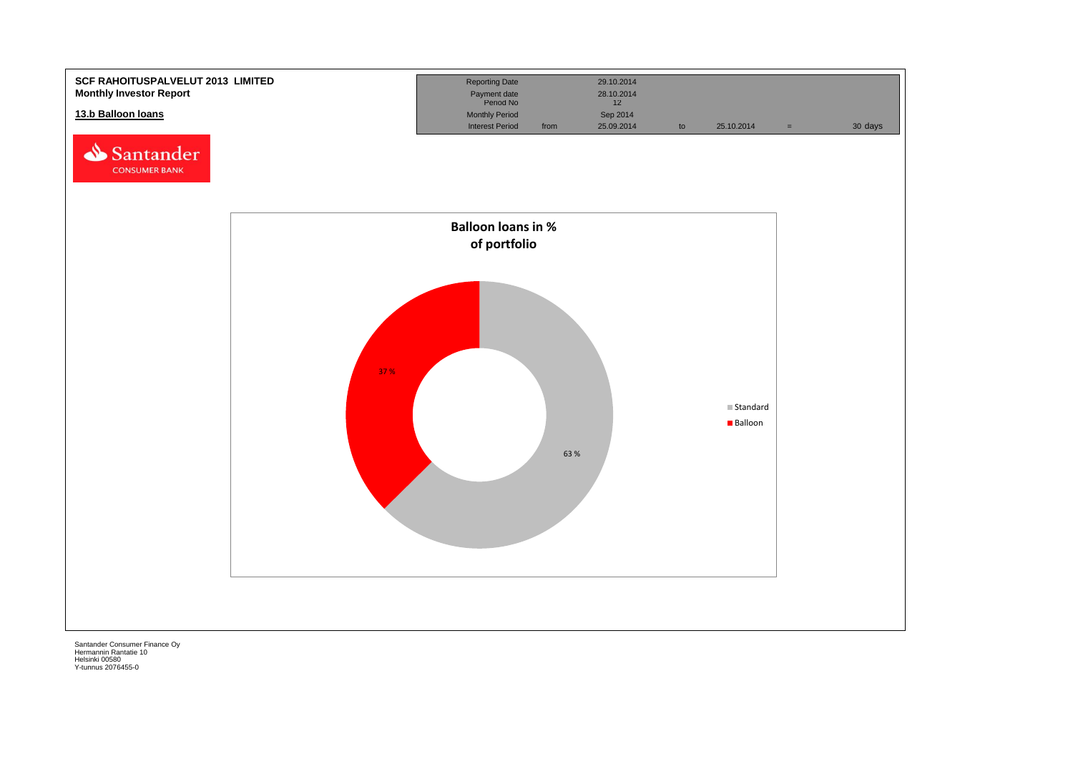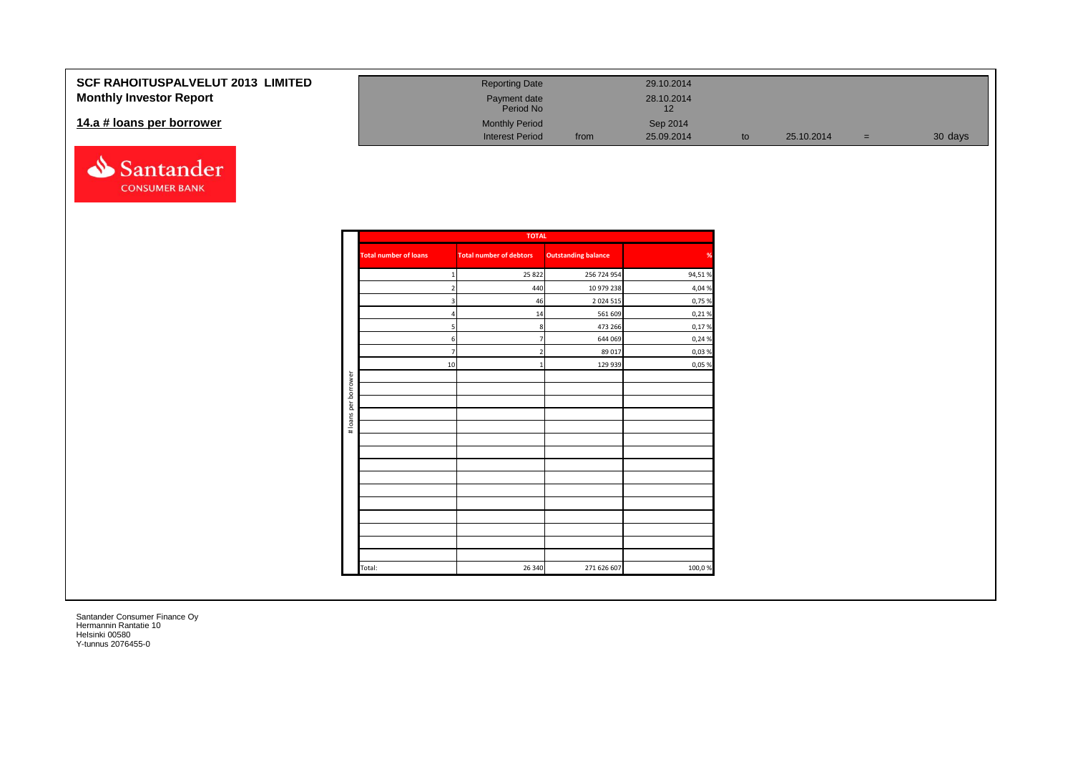| <b>SCF RAHOITUSPALVELUT 2013 LIMITED</b> | <b>Reporting Date</b>     |      | 29.10.2014 |            |     |         |
|------------------------------------------|---------------------------|------|------------|------------|-----|---------|
| <b>Monthly Investor Report</b>           | Payment date<br>Period No |      | 28.10.2014 |            |     |         |
| 14.a # loans per borrower                | <b>Monthly Period</b>     |      | Sep 2014   |            |     |         |
|                                          | <b>Interest Period</b>    | from | 25.09.2014 | 25.10.2014 | $=$ | 30 days |

|                      |                              | <b>TOTAL</b>                   |                            |        |
|----------------------|------------------------------|--------------------------------|----------------------------|--------|
|                      | <b>Total number of loans</b> | <b>Total number of debtors</b> | <b>Outstanding balance</b> | %      |
|                      | $\mathbf{1}$                 | 25 8 22                        | 256 724 954                | 94,51% |
|                      | $\overline{2}$               | 440                            | 10 979 238                 | 4,04 % |
|                      | $\mathbf{3}$                 | 46                             | 2 0 2 4 5 1 5              | 0,75 % |
|                      | 4                            | 14                             | 561 609                    | 0,21%  |
|                      | 5                            | 8                              | 473 266                    | 0,17%  |
|                      | $6 \mid$                     | $\overline{7}$                 | 644 069                    | 0,24 % |
|                      | $7\overline{ }$              | $\overline{2}$                 | 89 017                     | 0,03%  |
|                      | 10                           | 1                              | 129 939                    | 0,05 % |
|                      |                              |                                |                            |        |
| # loans per borrower |                              |                                |                            |        |
|                      |                              |                                |                            |        |
|                      |                              |                                |                            |        |
|                      |                              |                                |                            |        |
|                      |                              |                                |                            |        |
|                      |                              |                                |                            |        |
|                      |                              |                                |                            |        |
|                      |                              |                                |                            |        |
|                      |                              |                                |                            |        |
|                      |                              |                                |                            |        |
|                      |                              |                                |                            |        |
|                      |                              |                                |                            |        |
|                      |                              |                                |                            |        |
|                      |                              |                                |                            |        |
|                      | Total:                       | 26 340                         | 271 626 607                | 100,0% |

Santander **CONSUMER BANK**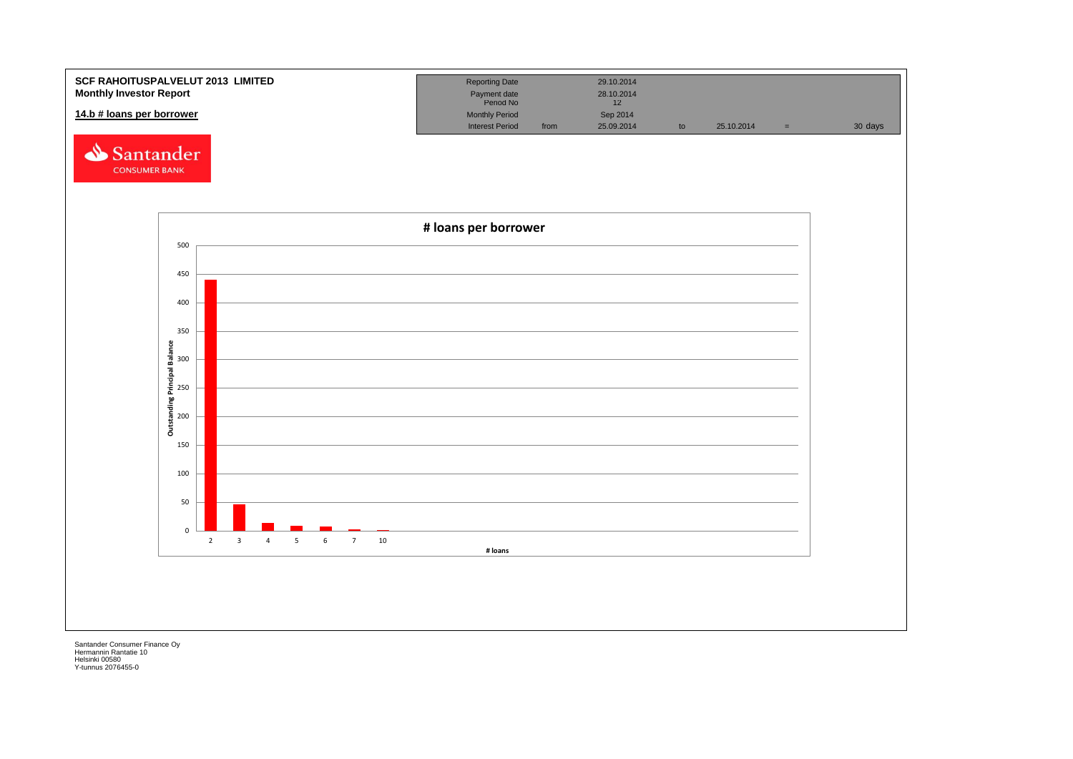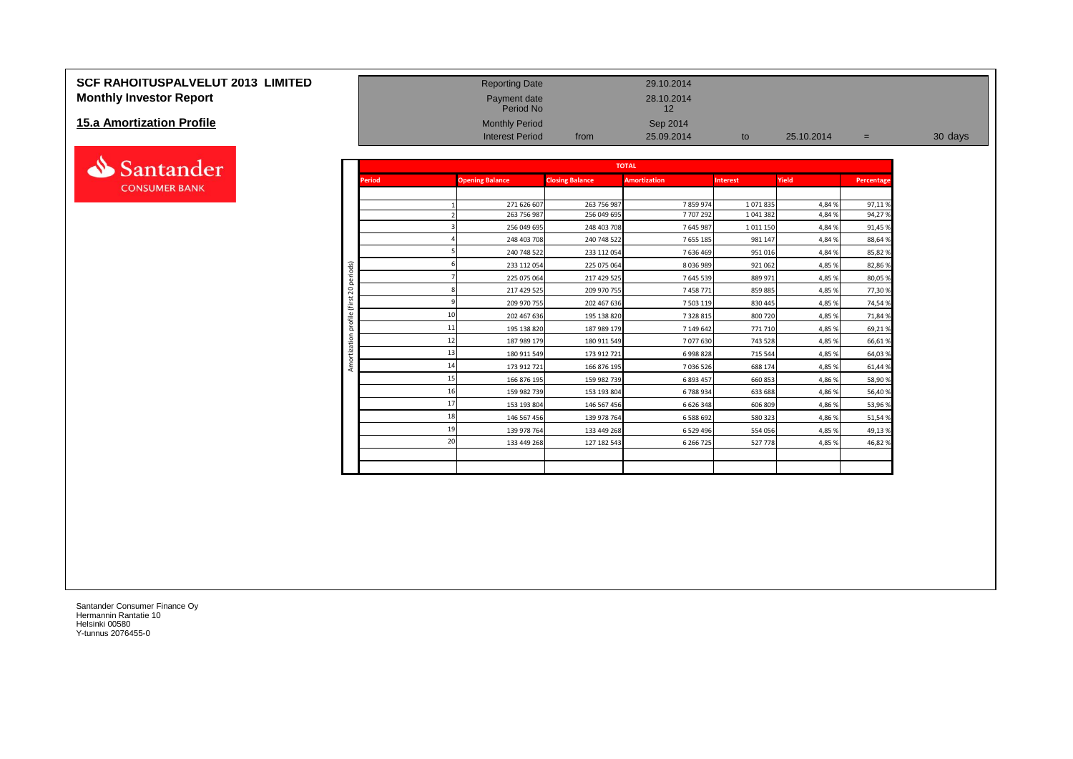# **SCF RAHOITUSPALVELUT 2013 LIMITED** Reporting Date Reporting Date 29.10.2014 **Monthly Investor Report Payment date** 28.10.2014

#### **15.a Amortization Profile**



| <b>Monthly Investor Report</b> |                |               | Payment date<br>Period No |                        | 28.10.2014<br>12    |                 |            |            |         |
|--------------------------------|----------------|---------------|---------------------------|------------------------|---------------------|-----------------|------------|------------|---------|
| 15.a Amortization Profile      |                |               | <b>Monthly Period</b>     |                        | Sep 2014            |                 |            |            |         |
|                                |                |               | <b>Interest Period</b>    | from                   | 25.09.2014          | to              | 25.10.2014 | $=$        | 30 days |
| Santander                      |                |               |                           |                        | <b>TOTAL</b>        |                 |            |            |         |
| <b>CONSUMER BANK</b>           |                | <b>Period</b> | <b>Opening Balance</b>    | <b>Closing Balance</b> | <b>Amortization</b> | <b>Interest</b> | Yield      | Percentage |         |
|                                |                |               | 271 626 607               | 263 756 987            | 7859974             | 1071835         | 4,84%      | 97,11%     |         |
|                                |                |               | 263 756 987               | 256 049 695            | 7707292             | 1 041 382       | 4,84 %     | 94,27%     |         |
|                                |                |               | 256 049 695               | 248 403 708            | 7645987             | 1 0 1 1 1 5 0   | 4,84%      | 91,45 %    |         |
|                                |                |               | 248 403 708               | 240 748 522            | 7 655 185           | 981 147         | 4,84%      | 88,64 %    |         |
|                                |                |               | 240 748 522               | 233 112 054            | 7 636 469           | 951 016         | 4,84%      | 85,82 %    |         |
|                                |                |               | 233 112 054               | 225 075 064            | 8 0 3 6 9 8 9       | 921 062         | 4,85 %     | 82,86%     |         |
|                                | periods)       |               | 225 075 064               | 217 429 525            | 7 645 539           | 889 971         | 4,85 %     | 80,05 %    |         |
|                                | $\overline{c}$ |               | 217 429 525               | 209 970 755            | 7458771             | 859 885         | 4,85 %     | 77,30%     |         |
|                                | €              |               | 209 970 755               | 202 467 636            | 7 503 119           | 830 445         | 4,85 %     | 74,54 %    |         |
|                                | ofile          | 10            | 202 467 636               | 195 138 820            | 7 328 815           | 800 720         | 4,85 %     | 71,84 %    |         |
|                                | ā              | 11            | 195 138 820               | 187 989 179            | 7 149 642           | 771 710         | 4,85 %     | 69,21%     |         |
|                                | ă              | 12            | 187 989 179               | 180 911 549            | 7077630             | 743 528         | 4,85 %     | 66,61%     |         |
|                                |                | 13            | 180 911 549               | 173 912 721            | 6998828             | 715 544         | 4,85 %     | 64,03%     |         |
|                                | Amor           | 14            | 173 912 721               | 166 876 195            | 7 036 526           | 688 174         | 4,85%      | 61,44 %    |         |
|                                |                |               | 166 876 195               | 159 982 739            | 6 893 457           | 660 853         | 4,86%      | 58,90 %    |         |
|                                |                | 16            | 159 982 739               | 153 193 804            | 6788934             | 633 688         | 4,86%      | 56,40%     |         |
|                                |                | 17            | 153 193 804               | 146 567 456            | 6 626 348           | 606 809         | 4,86%      | 53,96%     |         |
|                                |                | 18            | 146 567 456               | 139 978 764            | 6 588 692           | 580 323         | 4,86%      | 51,54 %    |         |
|                                |                | 19            | 139 978 764               | 133 449 268            | 6 5 29 4 96         | 554 056         | 4,85%      | 49,13%     |         |
|                                |                | 20            | 133 449 268               | 127 182 543            | 6 266 725           | 527 778         | 4,85%      | 46,82%     |         |
|                                |                |               |                           |                        |                     |                 |            |            |         |
|                                |                |               |                           |                        |                     |                 |            |            |         |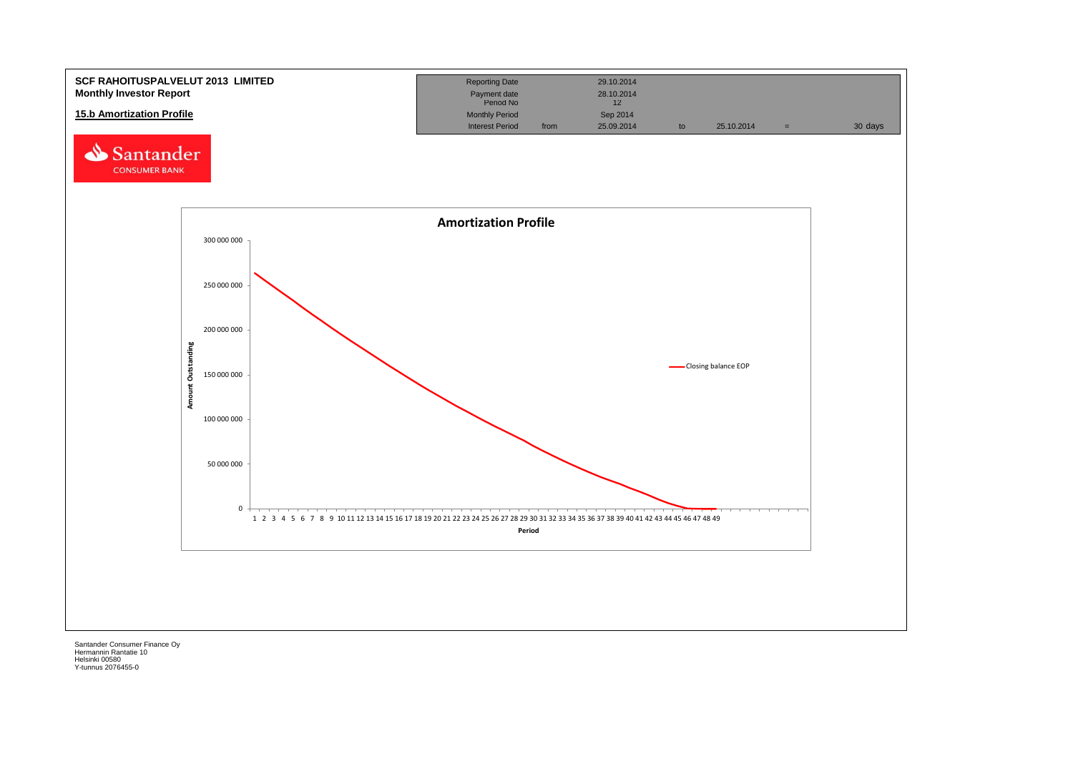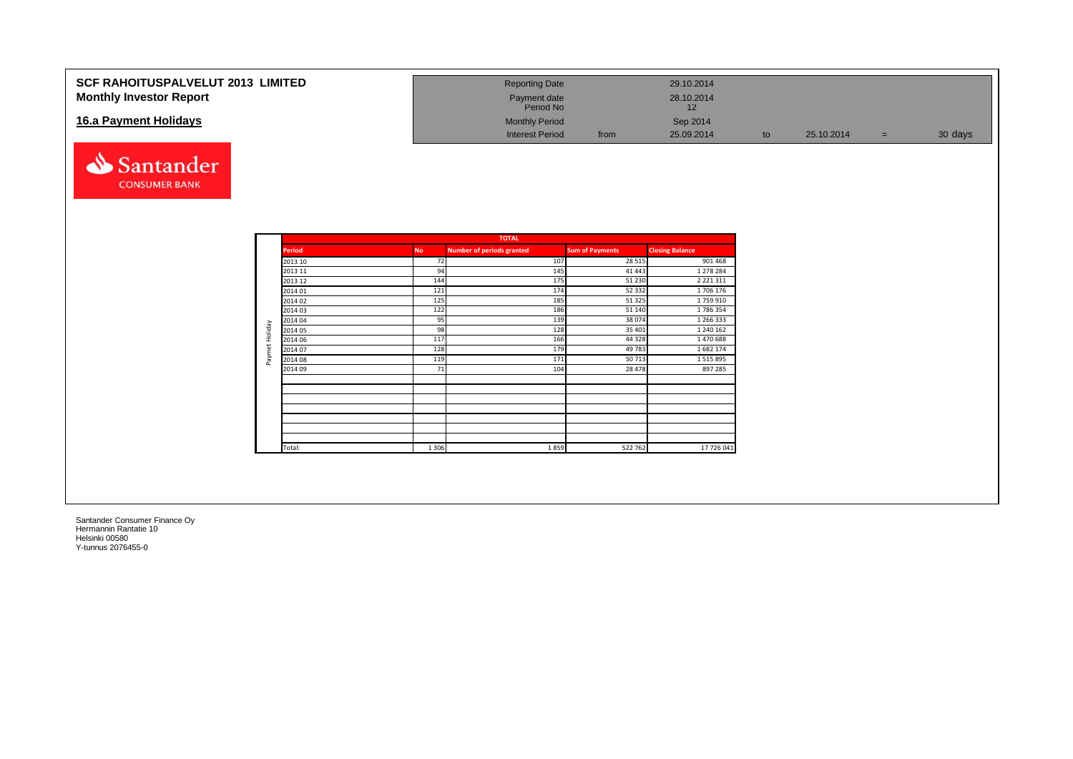| <b>SCF RAHOITUSPALVELUT 2013 LIMITED</b><br><b>Monthly Investor Report</b> | <b>Reporting Date</b><br>Payment date<br>Period No |      | 29.10.2014<br>28.10.2014<br>12 |    |            |         |
|----------------------------------------------------------------------------|----------------------------------------------------|------|--------------------------------|----|------------|---------|
| 16.a Payment Holidays                                                      | <b>Monthly Period</b><br><b>Interest Period</b>    | from | Sep 2014<br>25.09.2014         | to | 25.10.2014 | 30 days |



|                |               |           | <b>TOTAL</b>                     |                        |                        |
|----------------|---------------|-----------|----------------------------------|------------------------|------------------------|
|                | <b>Period</b> | <b>No</b> | <b>Number of periods granted</b> | <b>Sum of Payments</b> | <b>Closing Balance</b> |
|                | 2013 10       | 72        | 107                              | 28 5 15                | 901 468                |
|                | 2013 11       | 94        | 145                              | 41 443                 | 1 278 284              |
|                | 2013 12       | 144       | 175                              | 51 230                 | 2 2 2 1 3 1 1          |
|                | 2014 01       | 121       | 174                              | 52 332                 | 1706 176               |
|                | 2014 02       | 125       | 185                              | 51 325                 | 1759910                |
|                | 2014 03       | 122       | 186                              | 51 140                 | 1786354                |
|                | 2014 04       | 95        | 139                              | 38 074                 | 1 266 333              |
|                | 2014 05       | 98        | 128                              | 35 401                 | 1 240 162              |
|                | 2014 06       | 117       | 166                              | 44 3 28                | 1470688                |
| Paymet Holiday | 2014 07       | 128       | 179                              | 49 783                 | 1682 174               |
|                | 2014 08       | 119       | 171                              | 50713                  | 1 5 1 5 8 9 5          |
|                | 2014 09       | 71        | 104                              | 28 4 7 8               | 897 285                |
|                |               |           |                                  |                        |                        |
|                |               |           |                                  |                        |                        |
|                |               |           |                                  |                        |                        |
|                | Total:        | 1 3 0 6   | 1859                             | 522 762                | 17 726 041             |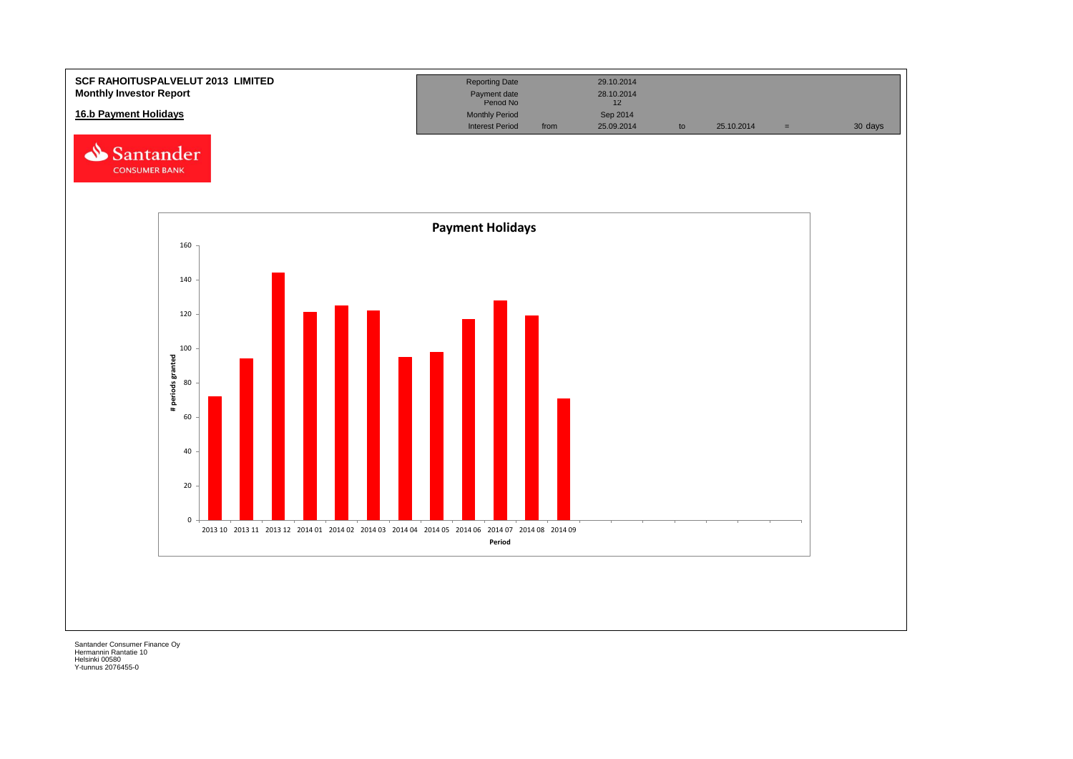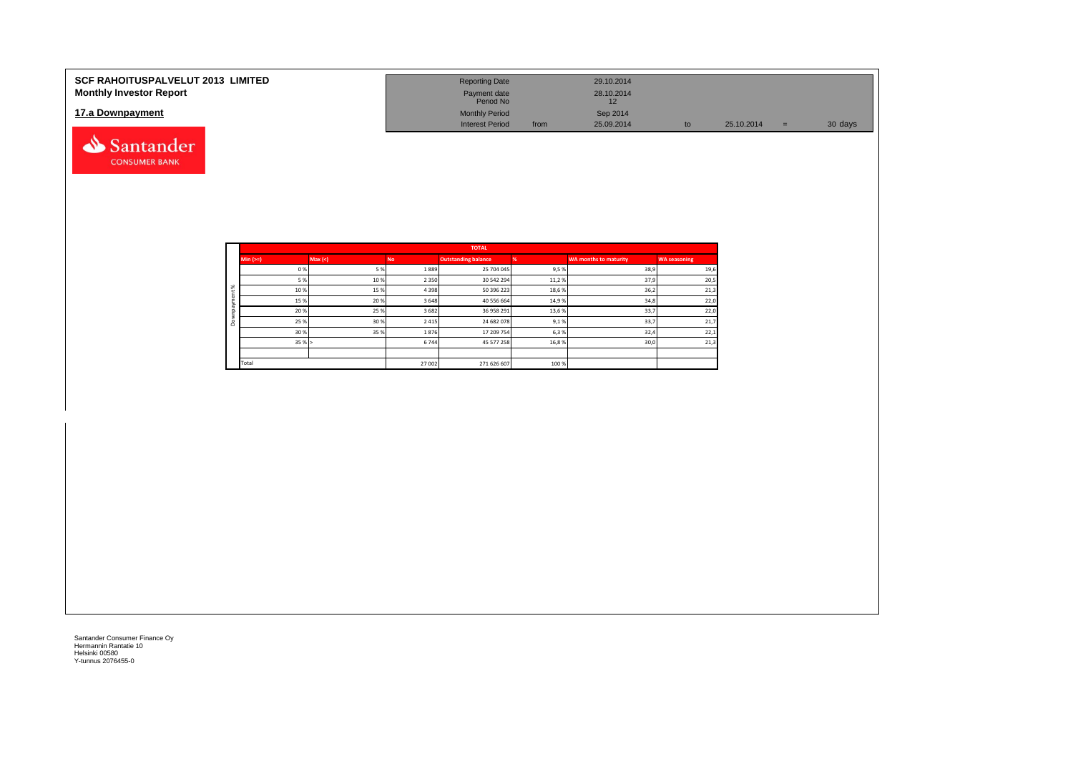| <b>SCF RAHOITUSPALVELUT 2013 LIMITED</b><br><b>Monthly Investor Report</b> | <b>Reporting Date</b><br>Payment date |      | 29.10.2014<br>28.10.2014 |    |            |     |         |
|----------------------------------------------------------------------------|---------------------------------------|------|--------------------------|----|------------|-----|---------|
|                                                                            | Period No                             |      | 12                       |    |            |     |         |
| 17.a Downpayment                                                           | <b>Monthly Period</b>                 |      | Sep 2014                 |    |            |     |         |
|                                                                            | <b>Interest Period</b>                | from | 25.09.2014               | to | 25.10.2014 | $=$ | 30 days |
| Santander                                                                  |                                       |      |                          |    |            |     |         |

|          |            |        |         | <b>TOTAL</b>               |       |                       |                     |
|----------|------------|--------|---------|----------------------------|-------|-----------------------|---------------------|
|          | $Min (==)$ | Max(<) | No.     | <b>Outstanding balance</b> |       | WA months to maturity | <b>WA seasoning</b> |
|          | 0%         | 5%     | 1889    | 25 704 045                 | 9,5%  | 38,9                  | 19,6                |
|          | 5 %        | 10%    | 2 3 5 0 | 30 542 294                 | 11,2% | 37,9                  | 20,5                |
| $\aleph$ | 10%        | 15%    | 4 3 9 8 | 50 396 223                 | 18,6% | 36,2                  | 21,3                |
|          | 15%        | 20%    | 3 6 4 8 | 40 556 664                 | 14,9% | 34,8                  | 22,0                |
|          | 20%        | 25%    | 3 6 8 2 | 36 958 291                 | 13,6% | 33,7                  | 22,0                |
| ۵        | 25 %       | 30%    | 2 4 1 5 | 24 682 078                 | 9,1%  | 33,7                  | 21,7                |
|          | 30%        | 35%    | 1876    | 17 209 754                 | 6,3%  | 32,4                  | 22,1                |
|          | 35%        |        | 6744    | 45 577 258                 | 16,8% | 30,0                  | 21,3                |
|          |            |        |         |                            |       |                       |                     |
|          | Total      |        | 27 002  | 271 626 607                | 100 % |                       |                     |

**CONSUMER BANK**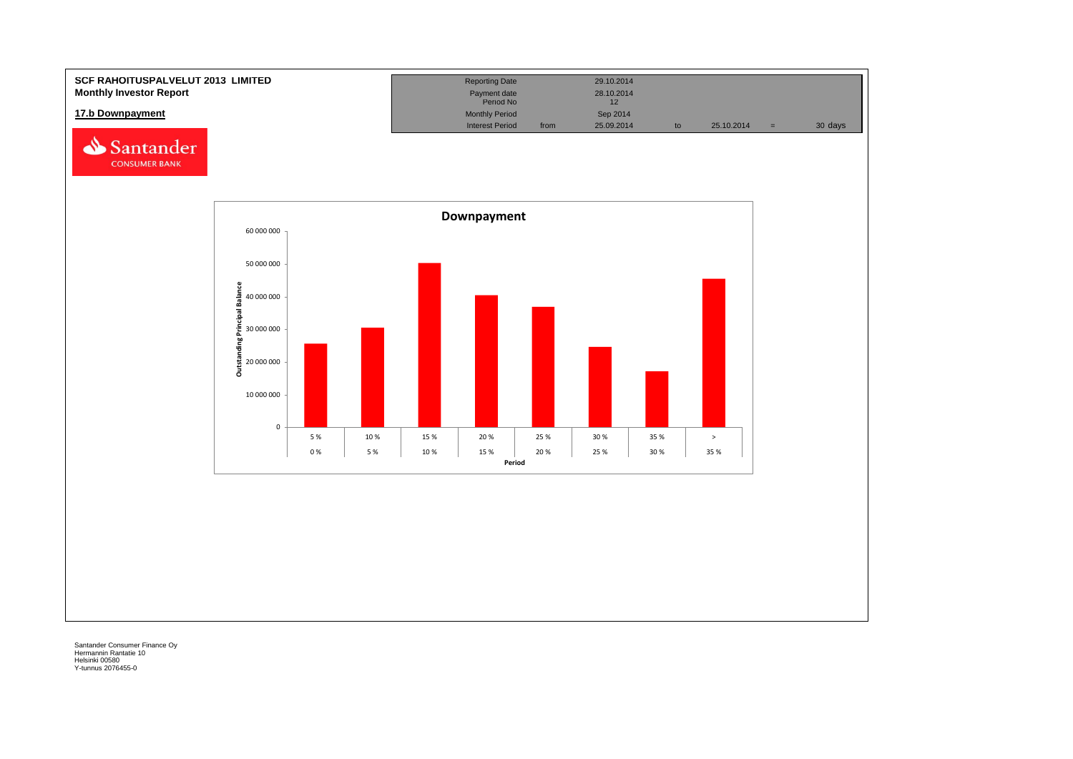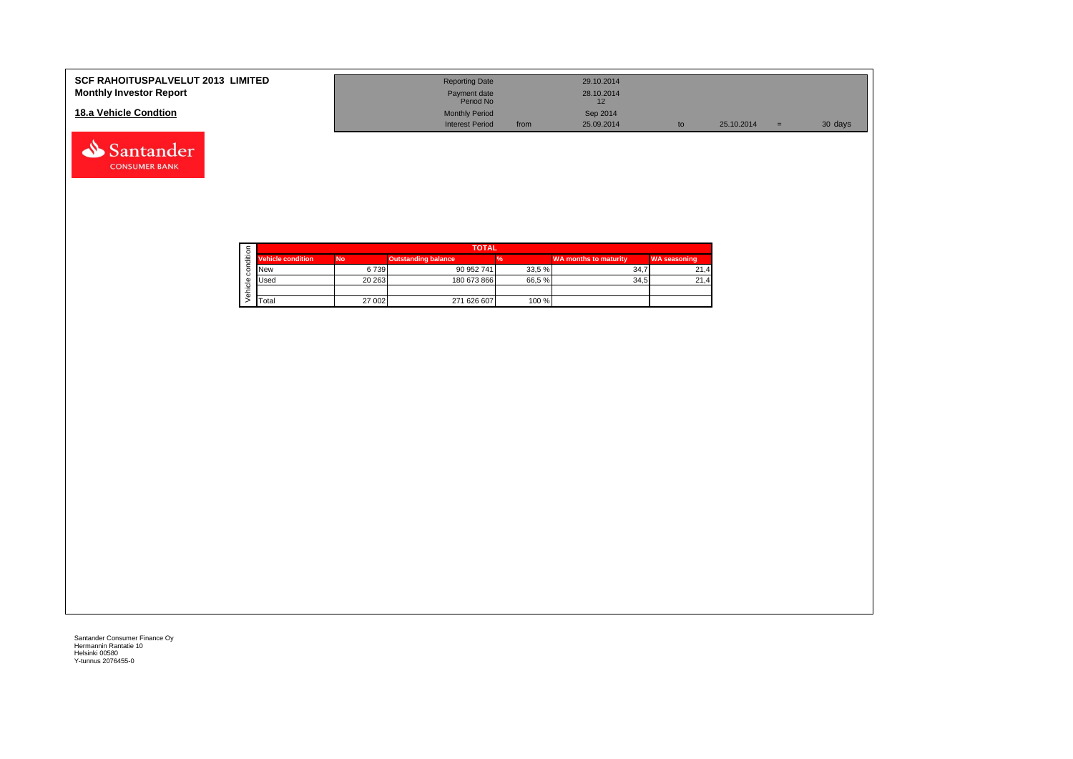| <b>SCF RAHOITUSPALVELUT 2013 LIMITED</b><br><b>Monthly Investor Report</b> | <b>Reporting Date</b><br>Payment date<br>Period No |      | 29.10.2014<br>28.10.2014 |    |            |     |         |
|----------------------------------------------------------------------------|----------------------------------------------------|------|--------------------------|----|------------|-----|---------|
| 18.a Vehicle Condtion                                                      | <b>Monthly Period</b><br><b>Interest Period</b>    | from | Sep 2014<br>25.09.2014   | to | 25.10.2014 | $=$ | 30 days |

|  |                          |           | <b>TOTAL</b>               |       |                              |                     |  |  |  |  |
|--|--------------------------|-----------|----------------------------|-------|------------------------------|---------------------|--|--|--|--|
|  | <b>Vehicle condition</b> | <b>No</b> | <b>Outstanding balance</b> |       | <b>WA months to maturity</b> | <b>WA seasoning</b> |  |  |  |  |
|  | <b>INew</b>              | 6739      | 90 952 741                 | 33,5% | 34.                          | 21.4                |  |  |  |  |
|  | <b>I</b> Used            | 20 26 3   | 180 673 866                | 66,5% | 34.5                         | 21,4                |  |  |  |  |
|  |                          |           |                            |       |                              |                     |  |  |  |  |
|  | <b>T</b> otal            | 27 002    | 271 626 607                | 100 % |                              |                     |  |  |  |  |

Santander **CONSUMER BANK**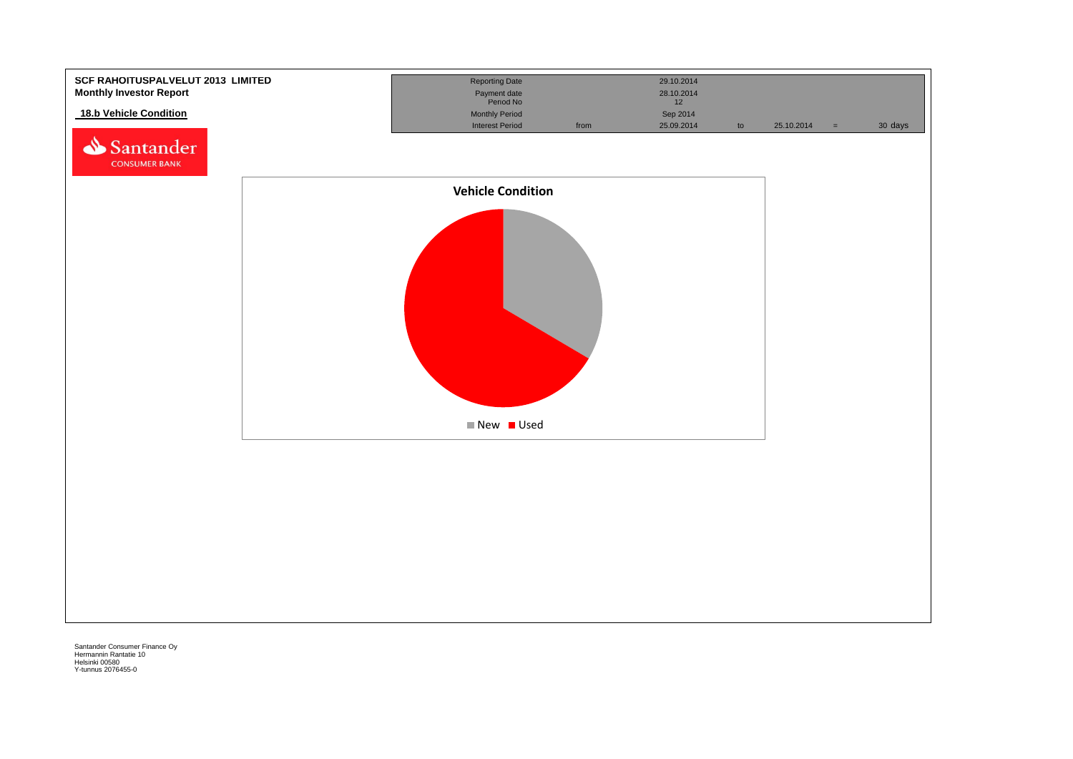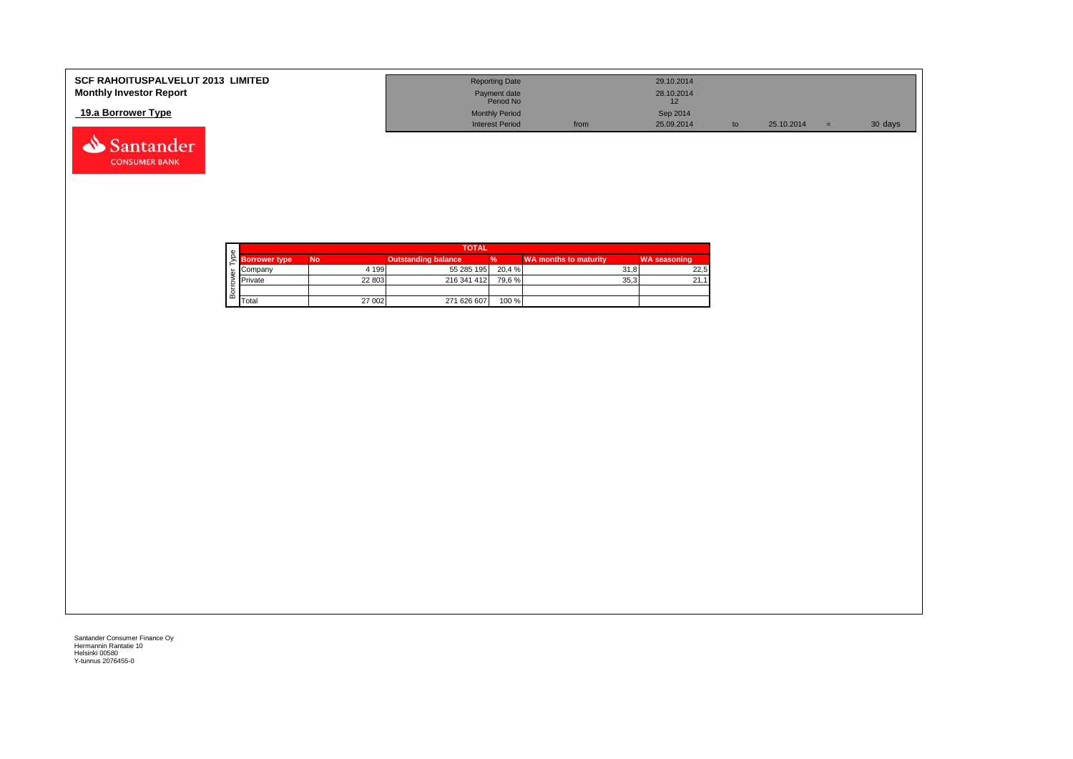| <b>SCF RAHOITUSPALVELUT 2013 LIMITED</b> | <b>Reporting Date</b>     |      | 29.10.2014 |            |         |
|------------------------------------------|---------------------------|------|------------|------------|---------|
| <b>Monthly Investor Report</b>           | Payment date<br>Period No |      | 28.10.2014 |            |         |
| 19.a Borrower Type                       | <b>Monthly Period</b>     |      | Sep 2014   |            |         |
|                                          | <b>Interest Period</b>    | from | 25.09.2014 | 25.10.2014 | 30 days |



Santander **CONSUMER BANK**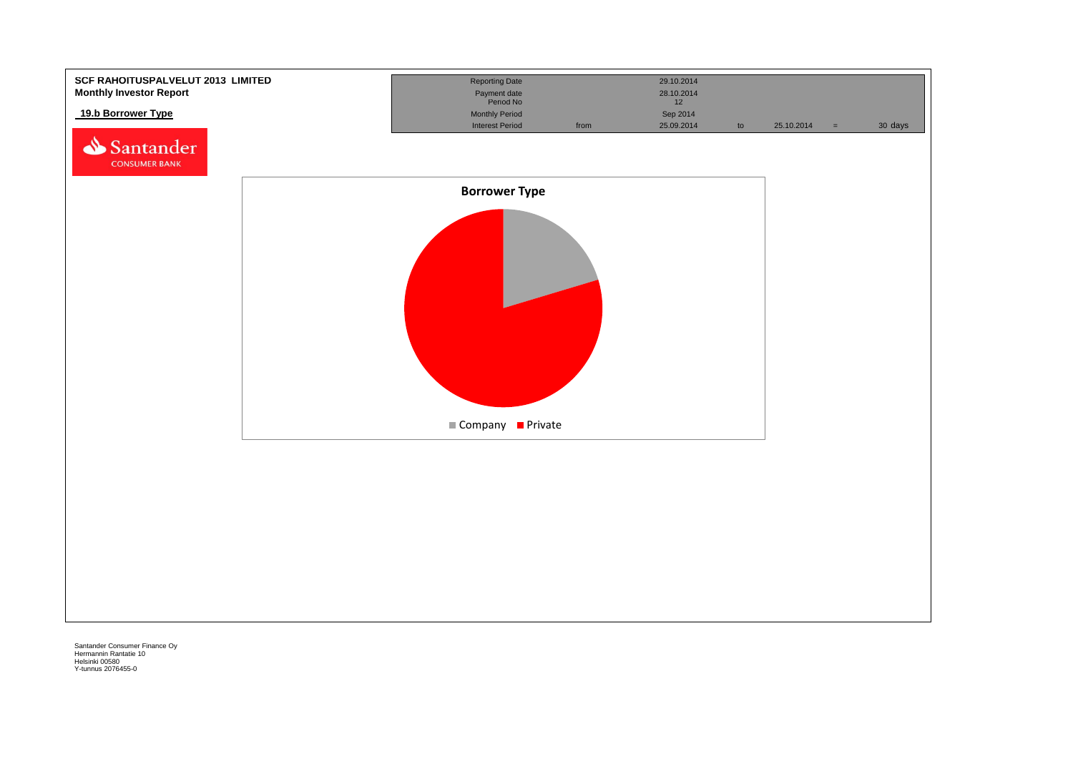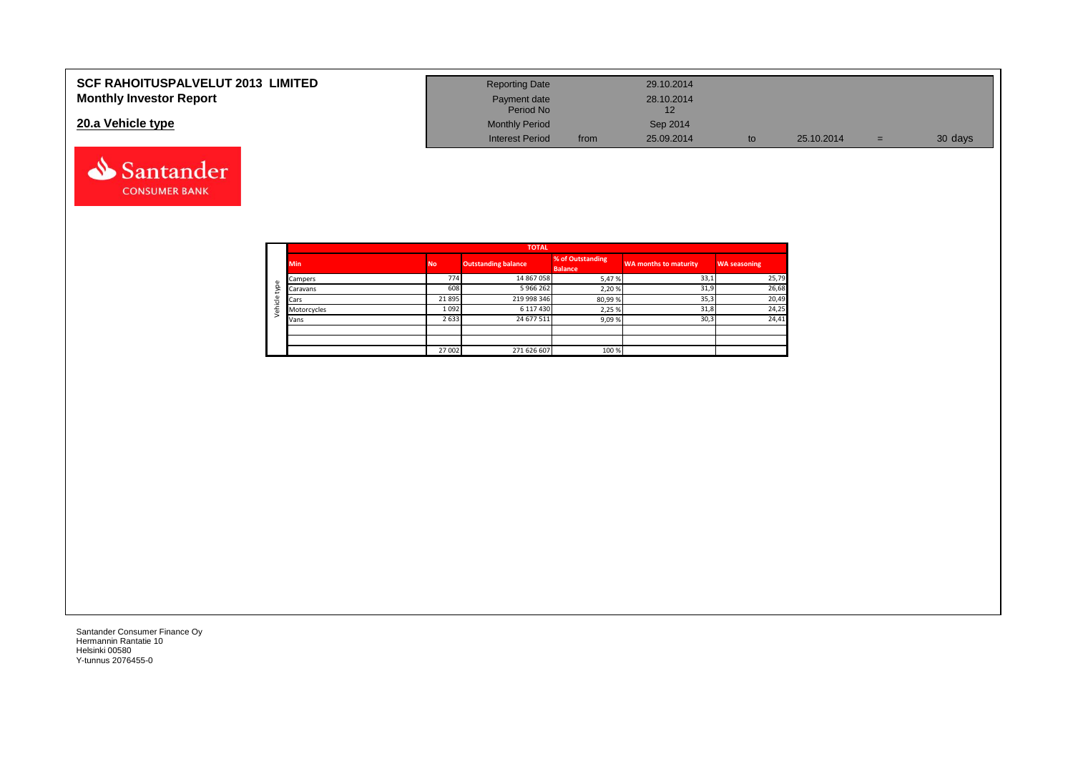| <b>SCF RAHOITUSPALVELUT 2013 LIMITED</b> | <b>Reporting Date</b>     |      | 29.10.2014 |    |            |     |         |
|------------------------------------------|---------------------------|------|------------|----|------------|-----|---------|
| <b>Monthly Investor Report</b>           | Payment date<br>Period No |      | 28.10.2014 |    |            |     |         |
| 20.a Vehicle type                        | <b>Monthly Period</b>     |      | Sep 2014   |    |            |     |         |
|                                          | <b>Interest Period</b>    | from | 25.09.2014 | to | 25.10.2014 | $=$ | 30 days |



Santander **CONSUMER BANK**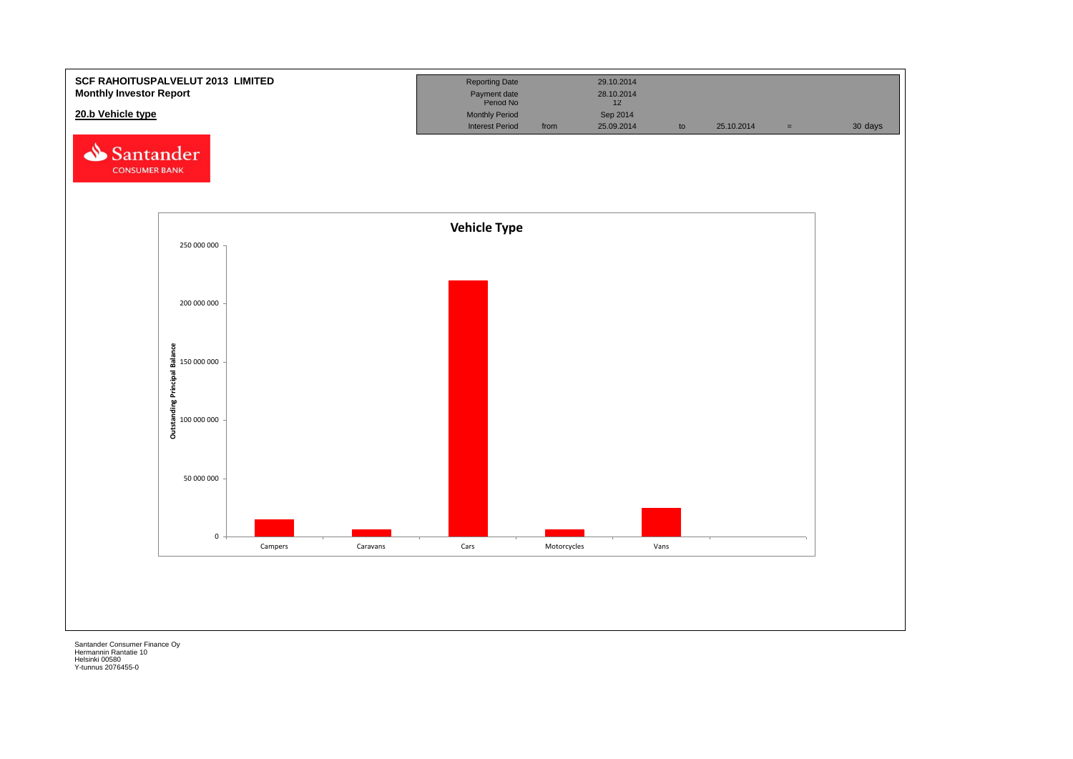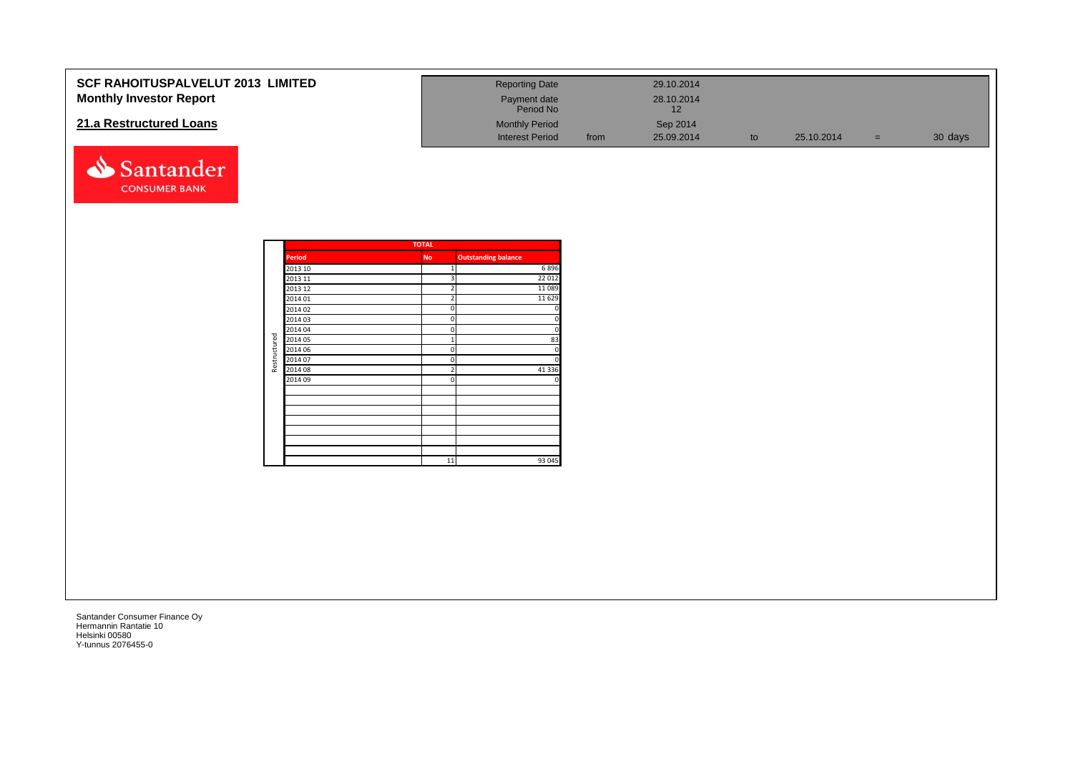| <b>SCF RAHOITUSPALVELUT 2013 LIMITED</b> | <b>Reporting Date</b>     |      | 29.10.2014       |            |     |         |
|------------------------------------------|---------------------------|------|------------------|------------|-----|---------|
| <b>Monthly Investor Report</b>           | Payment date<br>Period No |      | 28.10.2014<br>12 |            |     |         |
| 21.a Restructured Loans                  | <b>Monthly Period</b>     |      | Sep 2014         |            |     |         |
|                                          | <b>Interest Period</b>    | from | 25.09.2014       | 25.10.2014 | $=$ | 30 days |

|              |               | <b>TOTAL</b>   |                            |
|--------------|---------------|----------------|----------------------------|
|              | <b>Period</b> | <b>No</b>      | <b>Outstanding balance</b> |
|              | 2013 10       | $\mathbf{1}$   | 6896                       |
|              | 2013 11       | 3              | 22 012                     |
|              | 2013 12       | $\overline{2}$ | 11 0 89                    |
|              | 2014 01       | $\overline{2}$ | 11 6 29                    |
|              | 2014 02       | 0              | 0                          |
|              | 2014 03       | 0              | 0                          |
|              | 2014 04       | 0              | 0                          |
|              | 2014 05       | $\overline{1}$ | 83                         |
|              | 2014 06       | $\Omega$       | 0                          |
| Restructured | 2014 07       | 0              | $\mathbf 0$                |
|              | 2014 08       | $\overline{2}$ | 41 3 3 6                   |
|              | 2014 09       | 0              | 0                          |
|              |               |                |                            |
|              |               |                |                            |
|              |               |                |                            |
|              |               |                |                            |
|              |               |                |                            |
|              |               |                |                            |
|              |               |                |                            |
|              |               | 11             | 93 045                     |

Santander **CONSUMER BANK**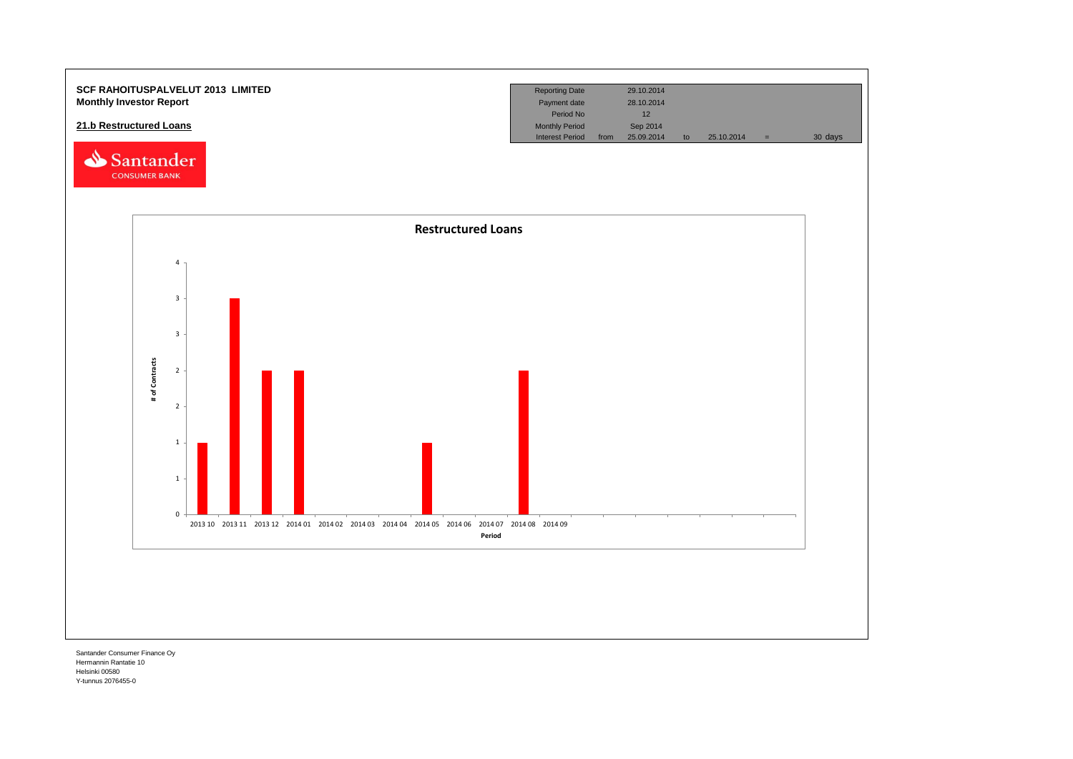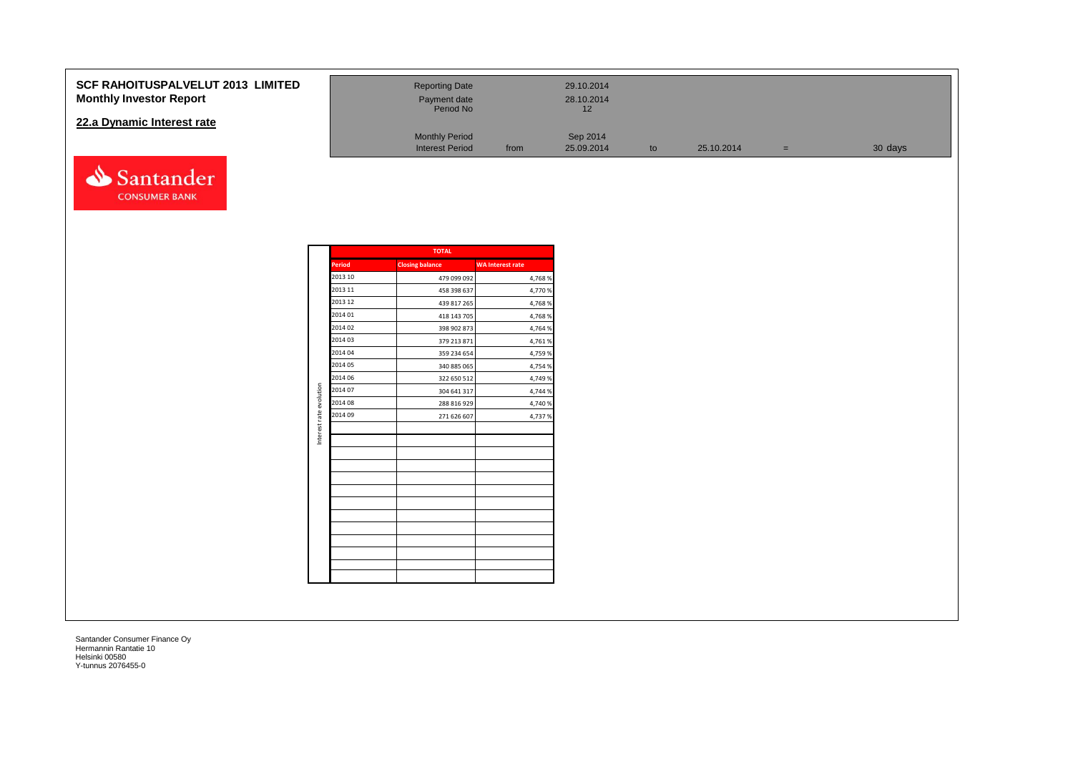### **SCF RAHOITUSPALVELUT 2013 Monthly Investor Report**

### **22.a Dynamic Interest rate**



| <b>LIMITED</b> | <b>Reporting Date</b><br>Payment date<br>Period No |      | 29.10.2014<br>28.10.2014<br>12 |    |            |     |         |
|----------------|----------------------------------------------------|------|--------------------------------|----|------------|-----|---------|
|                | <b>Monthly Period</b><br><b>Interest Period</b>    | from | Sep 2014<br>25.09.2014         | to | 25.10.2014 | $=$ | 30 days |

|                         |               | <b>TOTAL</b>           |                         |
|-------------------------|---------------|------------------------|-------------------------|
|                         | <b>Period</b> | <b>Closing balance</b> | <b>WA Interest rate</b> |
|                         | 2013 10       | 479 099 092            | 4,768%                  |
|                         | 2013 11       | 458 398 637            | 4,770 %                 |
|                         | 2013 12       | 439 817 265            | 4,768%                  |
|                         | 2014 01       | 418 143 705            | 4,768%                  |
|                         | 2014 02       | 398 902 873            | 4,764 %                 |
|                         | 2014 03       | 379 213 871            | 4,761 %                 |
|                         | 2014 04       | 359 234 654            | 4,759 %                 |
|                         | 2014 05       | 340 885 065            | 4,754 %                 |
|                         | 2014 06       | 322 650 512            | 4,749 %                 |
| Interest rate evolution | 2014 07       | 304 641 317            | 4,744 %                 |
|                         | 2014 08       | 288 816 929            | 4,740 %                 |
|                         | 2014 09       | 271 626 607            | 4,737%                  |
|                         |               |                        |                         |
|                         |               |                        |                         |
|                         |               |                        |                         |
|                         |               |                        |                         |
|                         |               |                        |                         |
|                         |               |                        |                         |
|                         |               |                        |                         |
|                         |               |                        |                         |
|                         |               |                        |                         |
|                         |               |                        |                         |
|                         |               |                        |                         |
|                         |               |                        |                         |
|                         |               |                        |                         |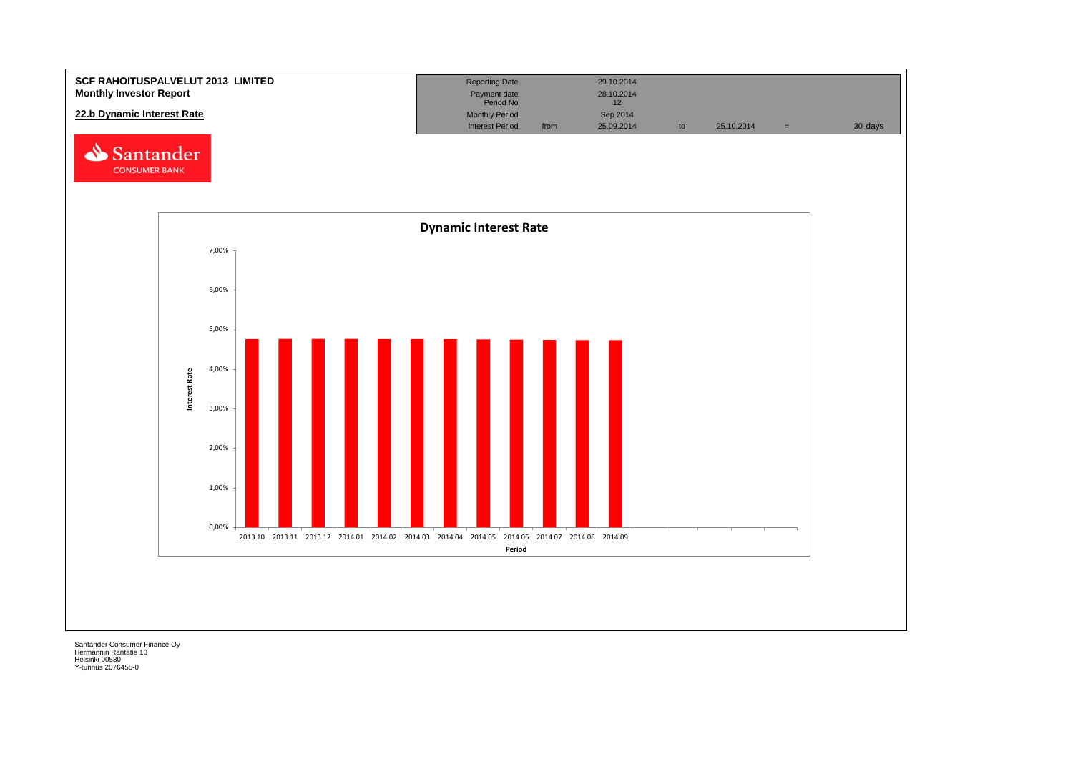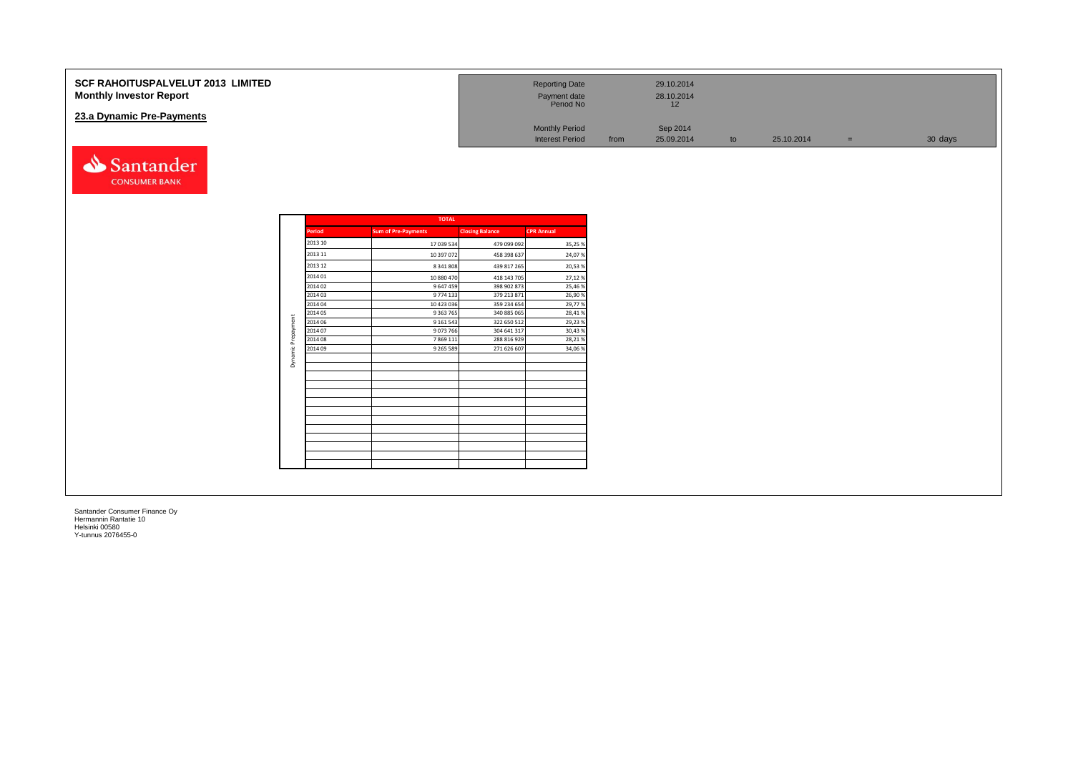| <b>SCF RAHOITUSPALVELUT 2013 LIMITED</b><br><b>Monthly Investor Report</b> | <b>Reporting Date</b><br>Payment date<br>Period No | 29.10.2014<br>28.10.2014<br>12 |    |            |     |         |
|----------------------------------------------------------------------------|----------------------------------------------------|--------------------------------|----|------------|-----|---------|
| 23.a Dynamic Pre-Payments                                                  | <b>Monthly Period</b>                              | Sep 2014                       |    |            |     |         |
|                                                                            | <b>Interest Period</b>                             | 25.09.2014<br>from             | to | 25.10.2014 | $=$ | 30 days |
| santander                                                                  |                                                    |                                |    |            |     |         |

| <b>TOTAL</b>  |                            |                        |                   |  |  |  |  |  |  |  |  |
|---------------|----------------------------|------------------------|-------------------|--|--|--|--|--|--|--|--|
| <b>Period</b> | <b>Sum of Pre-Payments</b> | <b>Closing Balance</b> | <b>CPR Annual</b> |  |  |  |  |  |  |  |  |
| 2013 10       | 17 039 534                 | 479 099 092            | 35,25%            |  |  |  |  |  |  |  |  |
| 2013 11       | 10 397 072                 | 458 398 637            | 24,07%            |  |  |  |  |  |  |  |  |
| 2013 12       | 8 341 808                  | 439 817 265            | 20,53%            |  |  |  |  |  |  |  |  |
| 2014 01       | 10 880 470                 | 418 143 705            | 27,12%            |  |  |  |  |  |  |  |  |
| 2014 02       | 9 647 459                  | 398 902 873            | 25,46%            |  |  |  |  |  |  |  |  |
| 2014 03       | 9 774 133                  | 379 213 871            | 26,90%            |  |  |  |  |  |  |  |  |
| 2014 04       | 10 423 036                 | 359 234 654            | 29,77%            |  |  |  |  |  |  |  |  |
| 2014 05       | 9 3 63 7 65                | 340 885 065            | 28,41%            |  |  |  |  |  |  |  |  |
| 2014 06       | 9 1 6 1 5 4 3              | 322 650 512            | 29,23%            |  |  |  |  |  |  |  |  |
| 2014 07       | 9073766                    | 304 641 317            | 30,43%            |  |  |  |  |  |  |  |  |
| 2014 08       | 7 8 6 9 1 1 1              | 288 816 929            | 28,21%            |  |  |  |  |  |  |  |  |
| 2014 09       | 9 2 6 5 5 8 9              | 271 626 607            | 34,06%            |  |  |  |  |  |  |  |  |
|               |                            |                        |                   |  |  |  |  |  |  |  |  |
|               |                            |                        |                   |  |  |  |  |  |  |  |  |
|               |                            |                        |                   |  |  |  |  |  |  |  |  |
|               |                            |                        |                   |  |  |  |  |  |  |  |  |
|               |                            |                        |                   |  |  |  |  |  |  |  |  |
|               |                            |                        |                   |  |  |  |  |  |  |  |  |
|               |                            |                        |                   |  |  |  |  |  |  |  |  |
|               |                            |                        |                   |  |  |  |  |  |  |  |  |
|               |                            |                        |                   |  |  |  |  |  |  |  |  |

**CONSUMER BANK**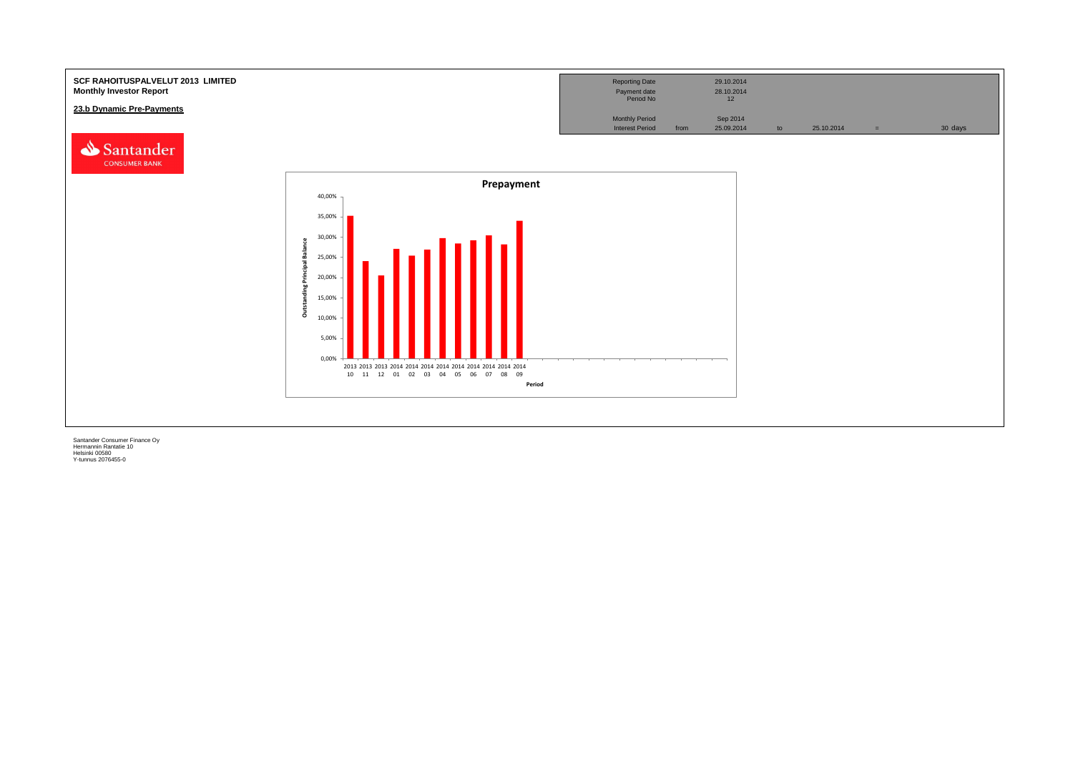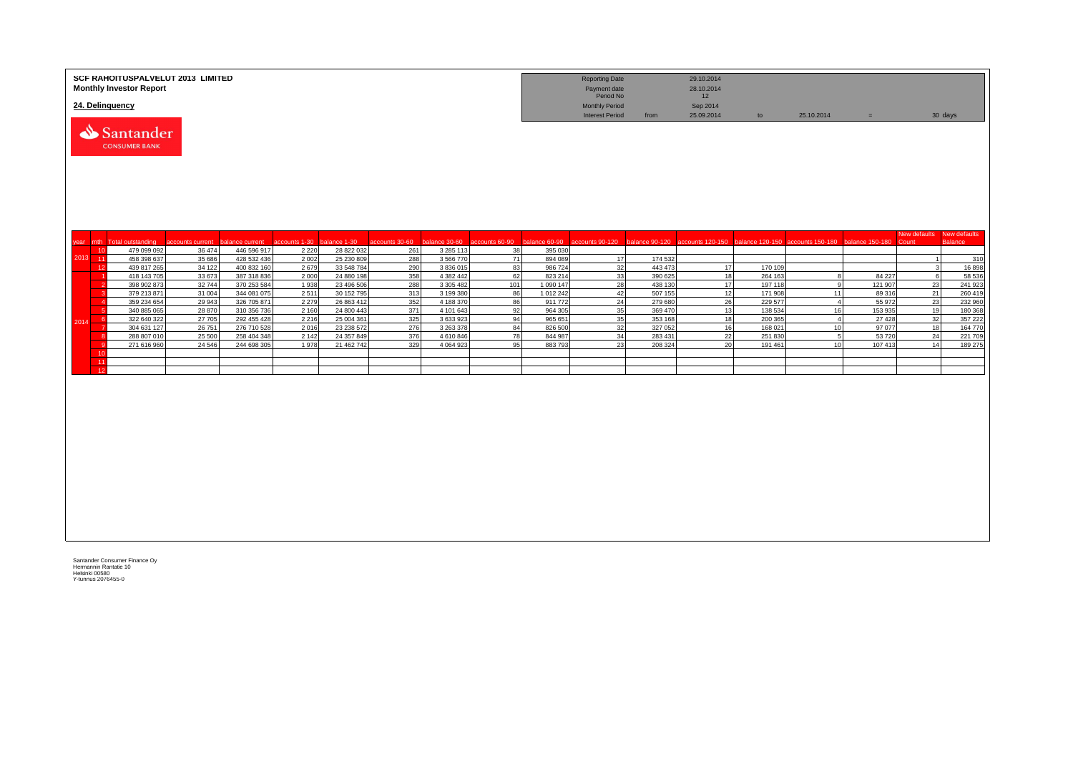|         | SCF RAHOITUSPALVELUT 2013 LIMITED<br><b>Monthly Investor Report</b> |                  |                            |                 |                          |                              |                        |          |                    | <b>Reporting Date</b><br>Payment date<br>Period No |                    | 29.10.2014<br>28.10.2014<br>12 |                    |                                                                                                                               |                 |                       |                                |
|---------|---------------------------------------------------------------------|------------------|----------------------------|-----------------|--------------------------|------------------------------|------------------------|----------|--------------------|----------------------------------------------------|--------------------|--------------------------------|--------------------|-------------------------------------------------------------------------------------------------------------------------------|-----------------|-----------------------|--------------------------------|
|         | 24. Delinquency<br>Santander<br><b>CONSUMER BANK</b>                |                  |                            |                 |                          |                              |                        |          |                    | <b>Monthly Period</b><br><b>Interest Period</b>    | from               | Sep 2014<br>25.09.2014         | to                 | 25.10.2014                                                                                                                    | $=$             |                       | 30 days                        |
|         |                                                                     |                  |                            |                 |                          |                              |                        |          |                    |                                                    |                    |                                |                    |                                                                                                                               |                 |                       |                                |
|         | mth Total outstanding                                               | accounts current | balance current            | accounts 1-30   | balance 1-30             | accounts 30-60 balance 30-60 |                        |          |                    |                                                    |                    |                                |                    | accounts 60-90 balance 60-90 accounts 90-120 balance 90-120 accounts 120-150 balance 120-150 accounts 150-180 balance 150-180 |                 | New defaults<br>Count | New defaults<br><b>Balance</b> |
| year    | 479 099 092<br>10                                                   | 36 474           | 446 596 917                | 2 2 2 0         | 28 822 032               | 261                          | 3 2 8 5 1 1 3          | 38       | 395 030            |                                                    |                    |                                |                    |                                                                                                                               |                 |                       |                                |
| 2013 11 | 458 398 637                                                         | 35 686           | 428 532 436                | 2002            | 25 230 809               | 288                          | 3 566 770              | 71       | 894 089            | 17                                                 | 174 532            |                                |                    |                                                                                                                               |                 |                       | 310                            |
|         | 439 817 265<br>12<br>418 143 705                                    | 34 122           | 400 832 160                | 2679            | 33 548 784               | 290<br>358                   | 3 836 015<br>4 382 442 | 83<br>62 | 986 724<br>823 214 | 32<br>33 <sup>1</sup>                              | 443 473<br>390 625 | 17<br>18                       | 170 109            | $\mathbf{R}$                                                                                                                  | 84 227          |                       | 16898<br>58 536                |
|         | 398 902 873                                                         | 33 673<br>32744  | 387 318 836<br>370 253 584 | 2000<br>1938    | 24 880 198<br>23 496 506 | 288                          | 3 305 482              | 101      | 1 090 147          | 28                                                 | 438 130            | 17                             | 264 163<br>197 118 | <b>q</b>                                                                                                                      | 121 907         | 23                    | 241 923                        |
|         | 379 213 871                                                         | 31 004           | 344 081 075                | 2511            | 30 152 795               | 313                          | 3 199 380              | 86       | 1 012 242          | 42                                                 | 507 155            | 12                             | 171 908            | 11                                                                                                                            | 89 316          | 21                    | 260 419                        |
|         | 359 234 654                                                         | 29 943           | 326 705 871                | 2 2 7 9         | 26 863 412               | 352                          | 4 188 370              | 86       | 911 772            | 24                                                 | 279 680            | 26                             | 229 577            | $\mathbf{A}$                                                                                                                  | 55 972          | 23                    | 232 960                        |
|         | 340 885 065                                                         | 28 870           | 310 356 736                | 2 1 6 0         | 24 800 443               | 371                          | 4 101 643              | 92       | 964 305            | 35                                                 | 369 470            | 13                             | 138 534            | 16                                                                                                                            | 153 935         | 19                    | 180 368                        |
| 201     | 322 640 322<br>- 6                                                  | 27 705           | 292 455 428                | 2 2 1 6         | 25 004 361               | 325                          | 3 633 923              | 94<br>84 | 965 651            | 35<br>32                                           | 353 168            | 18                             | 200 365            | $\mathbf{A}$<br>10 <sup>10</sup>                                                                                              | 27 4 28         | 32                    | 357 222                        |
|         | 304 631 127<br>288 807 010                                          | 26 751<br>25 500 | 276 710 528<br>258 404 348 | 2016<br>2 1 4 2 | 23 238 572<br>24 357 849 | 276<br>376                   | 3 263 378<br>4 610 846 | 78       | 826 500<br>844 987 | 34                                                 | 327 052<br>283 431 | 16<br>22                       | 168 021<br>251 830 | -51                                                                                                                           | 97 077<br>53720 | 18<br>24              | 164 770<br>221 709             |
|         | 271 616 960                                                         | 24 5 46          | 244 698 305                | 1978            | 21 462 742               | 329                          | 4 0 64 9 23            | 95       | 883793             | 23                                                 | 208 324            | 20                             | 191 461            | 10                                                                                                                            | 107 413         | 14                    | 189 275                        |
|         | 10                                                                  |                  |                            |                 |                          |                              |                        |          |                    |                                                    |                    |                                |                    |                                                                                                                               |                 |                       |                                |
|         | $-11$                                                               |                  |                            |                 |                          |                              |                        |          |                    |                                                    |                    |                                |                    |                                                                                                                               |                 |                       |                                |
|         | 12                                                                  |                  |                            |                 |                          |                              |                        |          |                    |                                                    |                    |                                |                    |                                                                                                                               |                 |                       |                                |
|         |                                                                     |                  |                            |                 |                          |                              |                        |          |                    |                                                    |                    |                                |                    |                                                                                                                               |                 |                       |                                |
|         |                                                                     |                  |                            |                 |                          |                              |                        |          |                    |                                                    |                    |                                |                    |                                                                                                                               |                 |                       |                                |
|         |                                                                     |                  |                            |                 |                          |                              |                        |          |                    |                                                    |                    |                                |                    |                                                                                                                               |                 |                       |                                |
|         |                                                                     |                  |                            |                 |                          |                              |                        |          |                    |                                                    |                    |                                |                    |                                                                                                                               |                 |                       |                                |
|         |                                                                     |                  |                            |                 |                          |                              |                        |          |                    |                                                    |                    |                                |                    |                                                                                                                               |                 |                       |                                |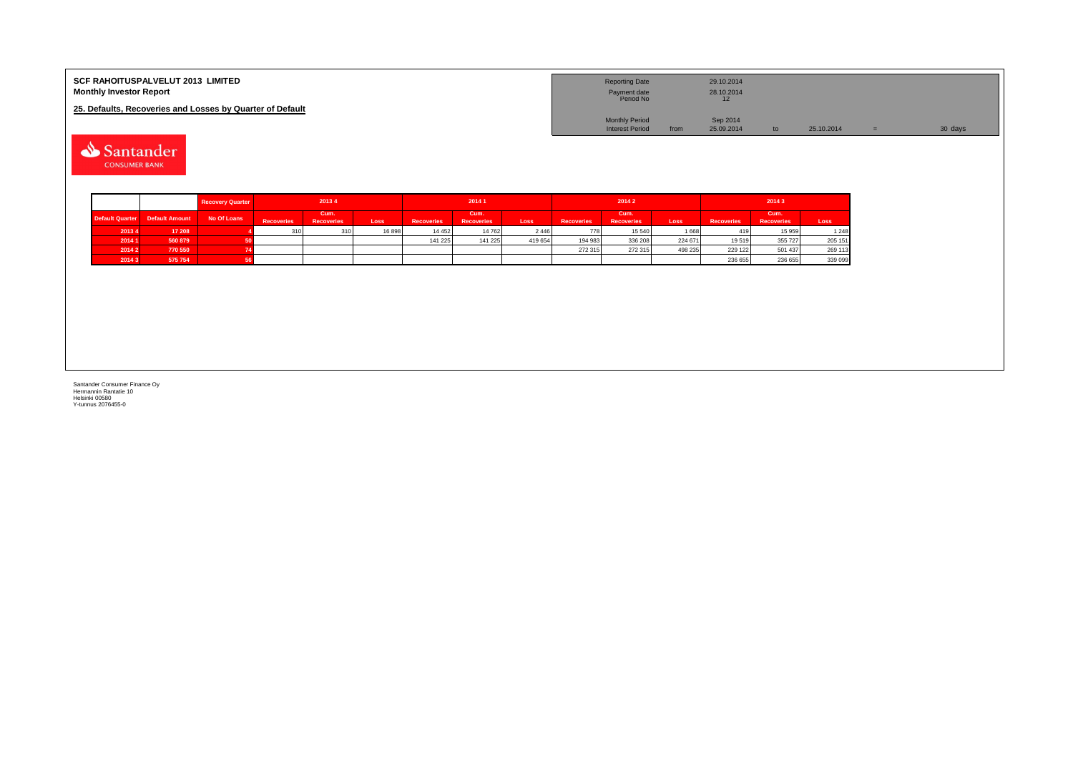| <b>SCF RAHOITUSPALVELUT 2013 LIMITED</b><br><b>Monthly Investor Report</b> | <b>Reporting Date</b><br>Payment date<br>Period No |      | 29.10.2014<br>28.10.2014 |            |         |
|----------------------------------------------------------------------------|----------------------------------------------------|------|--------------------------|------------|---------|
| 25. Defaults, Recoveries and Losses by Quarter of Default                  |                                                    |      |                          |            |         |
|                                                                            | <b>Monthly Period</b>                              |      | Sep 2014                 |            |         |
|                                                                            | <b>Interest Period</b>                             | from | 25.09.2014               | 25.10.2014 | 30 days |

Santander **CONSUMER BANK** 

|                        |                       | <b>Recovery Quarter</b> |                   | 20134                     |       |                   | 20141                     |         |                   | 20142                     |         |                   | 20143                     |         |
|------------------------|-----------------------|-------------------------|-------------------|---------------------------|-------|-------------------|---------------------------|---------|-------------------|---------------------------|---------|-------------------|---------------------------|---------|
| <b>Default Quarter</b> | <b>Default Amount</b> | No Of Loans             | <b>Recoveries</b> | Cum.<br><b>Recoveries</b> | Loss  | <b>Recoveries</b> | Cum.<br><b>Recoveries</b> | Loss    | <b>Recoveries</b> | Cum.<br><b>Recoveries</b> | Loss    | <b>Recoveries</b> | Cum.<br><b>Recoveries</b> | Loss    |
| 20134                  | 17 208                |                         | 310               | 310                       | 16898 | 14 4 5 2          | 14 762                    | 2446    | 778               | 15 540                    | 1668    | 419               | 15 959                    | 1 2 4 8 |
| 20141                  | 560 879               |                         |                   |                           |       | 141 225           | 141 225                   | 419 654 | 194 983           | 336 208                   | 224 671 | 19519             | 355 727                   | 205 151 |
| 2014 2                 | 770 550               |                         |                   |                           |       |                   |                           |         | 272 315           | 272 315                   | 498 235 | 229 122           | 501 437                   | 269 113 |
| 20143                  | 575 754               |                         |                   |                           |       |                   |                           |         |                   |                           |         | 236 655           | 236 655                   | 339 099 |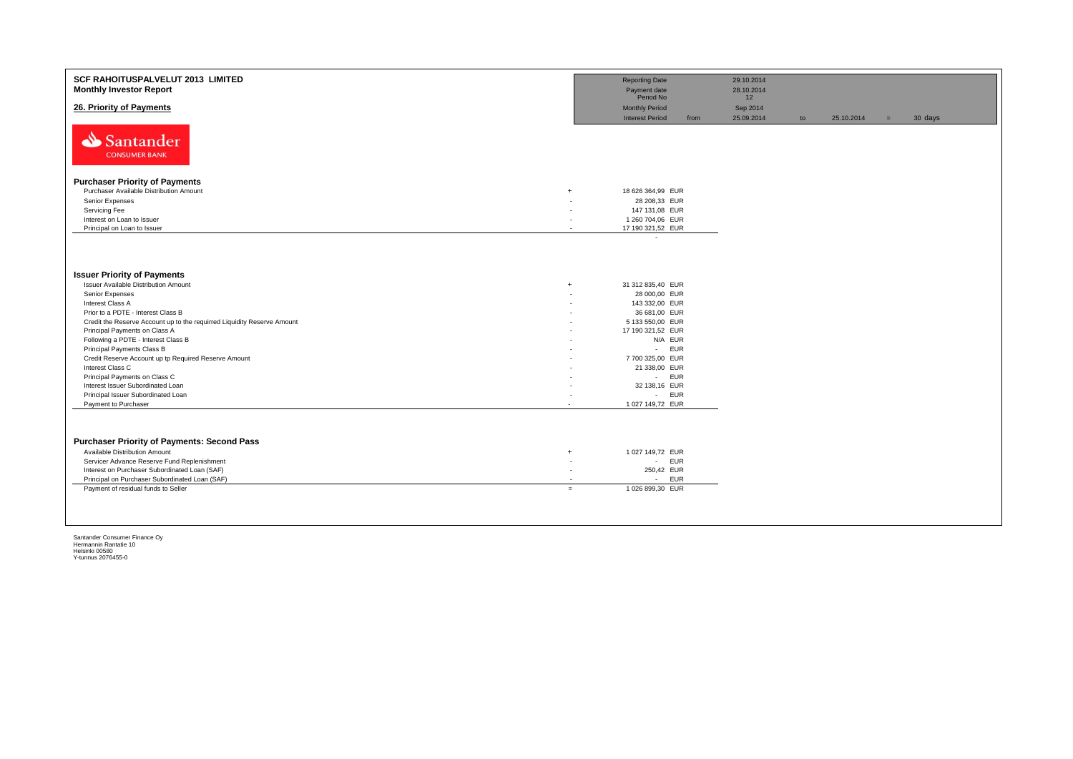| <b>SCF RAHOITUSPALVELUT 2013 LIMITED</b><br><b>Monthly Investor Report</b>         |                          | <b>Reporting Date</b><br>Payment date<br>Period No |      | 29.10.2014<br>28.10.2014<br>12 |    |            |     |         |
|------------------------------------------------------------------------------------|--------------------------|----------------------------------------------------|------|--------------------------------|----|------------|-----|---------|
| 26. Priority of Payments                                                           |                          | <b>Monthly Period</b><br><b>Interest Period</b>    | from | Sep 2014<br>25.09.2014         | to | 25.10.2014 | $=$ | 30 days |
| Santander<br><b>CONSUMER BANK</b>                                                  |                          |                                                    |      |                                |    |            |     |         |
| <b>Purchaser Priority of Payments</b>                                              |                          |                                                    |      |                                |    |            |     |         |
| Purchaser Available Distribution Amount<br>$\ddot{}$                               |                          | 18 626 364,99 EUR                                  |      |                                |    |            |     |         |
| Senior Expenses                                                                    |                          | 28 208.33 EUR                                      |      |                                |    |            |     |         |
| Servicing Fee                                                                      |                          | 147 131,08 EUR                                     |      |                                |    |            |     |         |
| Interest on Loan to Issuer                                                         | ٠                        | 1 260 704,06 EUR                                   |      |                                |    |            |     |         |
| Principal on Loan to Issuer                                                        | $\overline{\phantom{a}}$ | 17 190 321,52 EUR                                  |      |                                |    |            |     |         |
|                                                                                    |                          | $\sim$                                             |      |                                |    |            |     |         |
| <b>Issuer Priority of Payments</b>                                                 |                          |                                                    |      |                                |    |            |     |         |
| <b>Issuer Available Distribution Amount</b>                                        | $+$                      | 31 312 835,40 EUR                                  |      |                                |    |            |     |         |
| Senior Expenses                                                                    |                          | 28 000,00 EUR                                      |      |                                |    |            |     |         |
| Interest Class A                                                                   | ٠                        | 143 332,00 EUR                                     |      |                                |    |            |     |         |
| Prior to a PDTE - Interest Class B                                                 |                          | 36 681,00 EUR                                      |      |                                |    |            |     |         |
| Credit the Reserve Account up to the requirred Liquidity Reserve Amount            |                          | 5 133 550,00 EUR                                   |      |                                |    |            |     |         |
| Principal Payments on Class A                                                      |                          | 17 190 321,52 EUR                                  |      |                                |    |            |     |         |
| Following a PDTE - Interest Class B                                                |                          | N/A EUR                                            |      |                                |    |            |     |         |
| Principal Payments Class B<br>Credit Reserve Account up tp Required Reserve Amount |                          | - EUR<br>7700 325,00 EUR                           |      |                                |    |            |     |         |
| Interest Class C                                                                   |                          | 21 338,00 EUR                                      |      |                                |    |            |     |         |
| Principal Payments on Class C                                                      | $\overline{\phantom{a}}$ | - EUR                                              |      |                                |    |            |     |         |
| Interest Issuer Subordinated Loan                                                  |                          | 32 138,16 EUR                                      |      |                                |    |            |     |         |
| Principal Issuer Subordinated Loan                                                 |                          | - EUR                                              |      |                                |    |            |     |         |
| Payment to Purchaser                                                               |                          | 1 027 149,72 EUR                                   |      |                                |    |            |     |         |
|                                                                                    |                          |                                                    |      |                                |    |            |     |         |
| <b>Purchaser Priority of Payments: Second Pass</b>                                 |                          |                                                    |      |                                |    |            |     |         |
| Available Distribution Amount<br>$\ddot{}$                                         |                          | 1 027 149,72 EUR                                   |      |                                |    |            |     |         |
| Servicer Advance Reserve Fund Replenishment                                        | $\overline{\phantom{a}}$ | - EUR                                              |      |                                |    |            |     |         |
| Interest on Purchaser Subordinated Loan (SAF)                                      | ۰                        | 250,42 EUR                                         |      |                                |    |            |     |         |
| Principal on Purchaser Subordinated Loan (SAF)                                     | ٠                        | <b>EUR</b><br>$\sim$                               |      |                                |    |            |     |         |
| Payment of residual funds to Seller                                                | $=$                      | 1 026 899,30 EUR                                   |      |                                |    |            |     |         |
|                                                                                    |                          |                                                    |      |                                |    |            |     |         |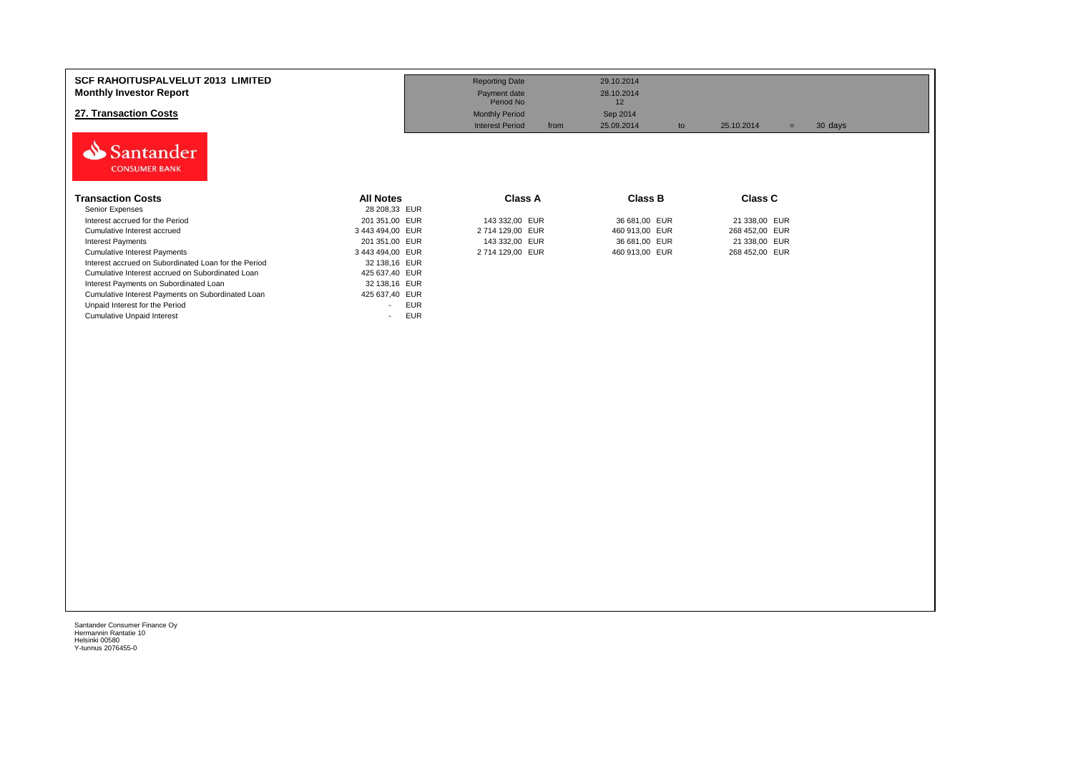| <b>SCF RAHOITUSPALVELUT 2013 LIMITED</b><br><b>Monthly Investor Report</b><br>27. Transaction Costs<br>Santander |                                        | <b>Reporting Date</b><br>Payment date<br>Period No<br><b>Monthly Period</b><br><b>Interest Period</b><br>from | 29.10.2014<br>28.10.2014<br>12<br>Sep 2014<br>25.09.2014<br>to | 25.10.2014<br>$=$               | 30 days |
|------------------------------------------------------------------------------------------------------------------|----------------------------------------|---------------------------------------------------------------------------------------------------------------|----------------------------------------------------------------|---------------------------------|---------|
| <b>CONSUMER BANK</b><br><b>Transaction Costs</b><br>Senior Expenses                                              | <b>All Notes</b><br>28 208,33 EUR      | Class A                                                                                                       | <b>Class B</b>                                                 | <b>Class C</b>                  |         |
| Interest accrued for the Period<br>Cumulative Interest accrued                                                   | 201 351,00 EUR<br>3 443 494,00 EUR     | 143 332,00 EUR<br>2714 129,00 EUR                                                                             | 36 681,00 EUR<br>460 913,00 EUR                                | 21 338,00 EUR<br>268 452,00 EUR |         |
| Interest Payments                                                                                                | 201 351,00 EUR                         | 143 332,00 EUR                                                                                                | 36 681,00 EUR                                                  | 21 338,00 EUR                   |         |
| <b>Cumulative Interest Payments</b>                                                                              | 3 443 494,00 EUR                       | 2714 129,00 EUR                                                                                               | 460 913,00 EUR                                                 | 268 452,00 EUR                  |         |
| Interest accrued on Subordinated Loan for the Period                                                             | 32 138,16 EUR                          |                                                                                                               |                                                                |                                 |         |
| Cumulative Interest accrued on Subordinated Loan                                                                 | 425 637,40 EUR                         |                                                                                                               |                                                                |                                 |         |
| Interest Payments on Subordinated Loan                                                                           | 32 138,16 EUR                          |                                                                                                               |                                                                |                                 |         |
| Cumulative Interest Payments on Subordinated Loan                                                                | 425 637,40 EUR                         |                                                                                                               |                                                                |                                 |         |
| Unpaid Interest for the Period                                                                                   | <b>EUR</b><br>$\overline{\phantom{a}}$ |                                                                                                               |                                                                |                                 |         |
| <b>Cumulative Unpaid Interest</b>                                                                                | <b>EUR</b>                             |                                                                                                               |                                                                |                                 |         |